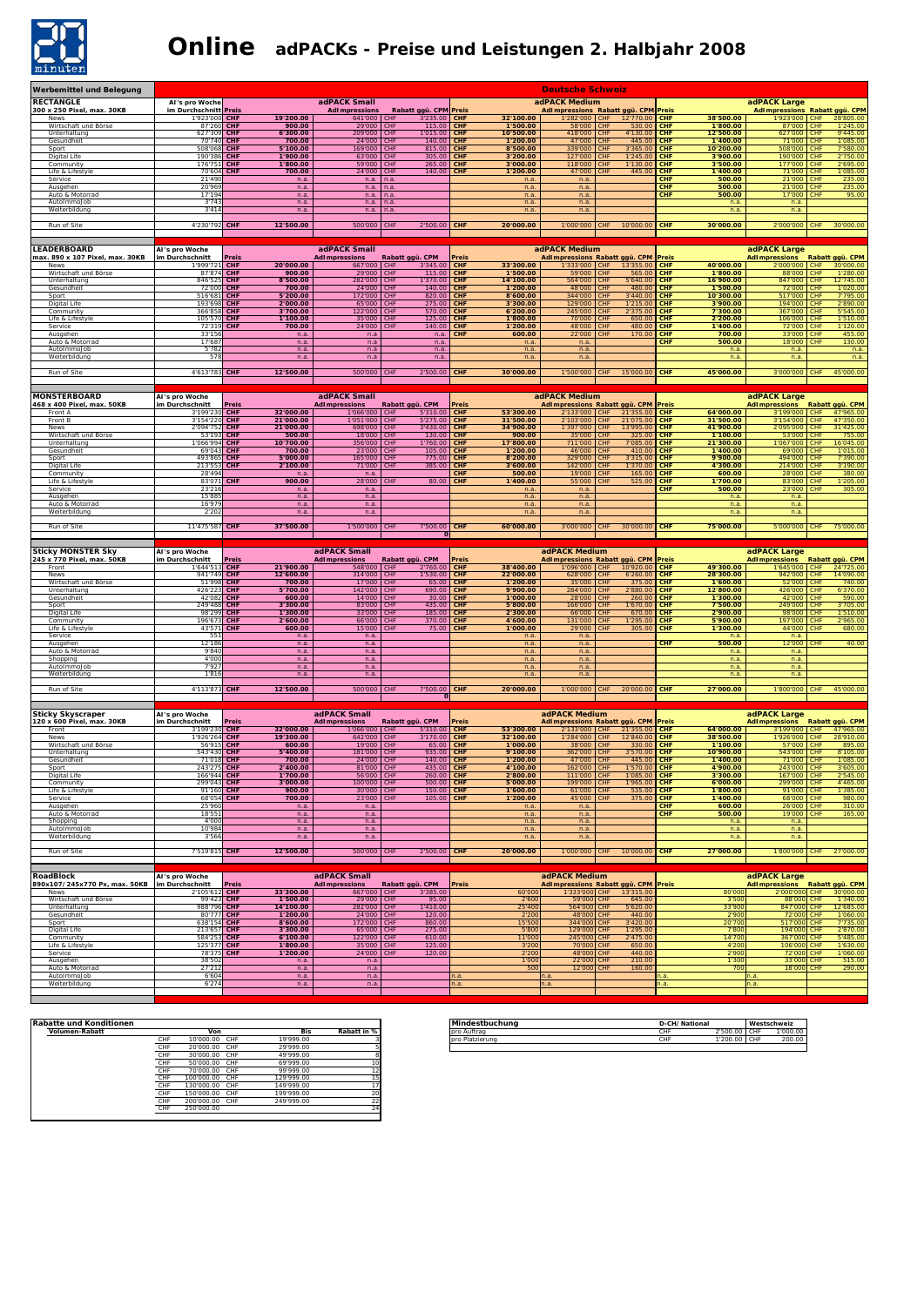

| <b>Werbemittel und Belegung</b>                         |                                   |                          |                        |                                      |                          |                                 |                          |                        | <b>Deutsche Schweiz</b>  |                                                                    |                          |                        |                                               |                          |                        |
|---------------------------------------------------------|-----------------------------------|--------------------------|------------------------|--------------------------------------|--------------------------|---------------------------------|--------------------------|------------------------|--------------------------|--------------------------------------------------------------------|--------------------------|------------------------|-----------------------------------------------|--------------------------|------------------------|
| <b>RECTANGLE</b>                                        | Al's pro Woche                    |                          |                        | adPACK Small                         |                          |                                 |                          |                        | adPACK Medium            |                                                                    |                          |                        | adPACK Large                                  |                          |                        |
| 300 x 250 Pixel, max. 30KB                              | im Durchschnitt                   | <b>Preis</b>             |                        | <b>AdImpressions</b>                 |                          | Rabatt ggü. CPM Preis           |                          |                        |                          | AdImpressions Rabatt ggü. CPM Preis                                |                          |                        | AdImpressions Rabatt ggü. CPM                 |                          |                        |
| News<br>Wirtschaft und Börse                            | 1'923'000<br>87'260               | CHF<br><b>CHF</b>        | 19'200.00<br>900.00    | 641'000<br>29'000                    | <b>CHF</b><br><b>CHF</b> | 3'235.00<br>115.00              | <b>CHF</b><br><b>CHF</b> | 32'100.00<br>1'500.00  | 1'282'000<br>58'000      | 12'770.00<br><b>CHF</b><br><b>CHF</b><br>530.00                    | CHF<br><b>CHF</b>        | 38'500.00<br>1'800.00  | 1'923'000 CHF<br>87'000                       | <b>CHF</b>               | 28'805.00<br>1'245.00  |
| Unterhaltung                                            | 627'30                            | <b>CHF</b>               | 6'300.00               | 209'000                              | <b>CHF</b>               | 1'015.00                        | <b>CHF</b>               | 10'500.00              | 418'00C                  | <b>CHF</b><br>4'130.00                                             | <b>CHF</b>               | 12'500.00              | 627'000                                       | <b>CHF</b>               | 9'445.00               |
| Gesundheit<br>Sport                                     | 70'74<br>508'06                   | <b>CHF</b><br><b>CHF</b> | 700.00<br>5'100.00     | 24'000<br>169'000                    | <b>CHF</b><br><b>CHF</b> | 140.00<br>815.00                | <b>CHF</b><br><b>CHF</b> | 1'200.00<br>8'500.00   | 47'000<br>339'000        | <b>CHF</b><br>445.0<br>3'365.0<br><b>CHF</b>                       | <b>CHF</b><br><b>CHF</b> | 1'400.00<br>10'200.00  | 71'000<br>508'000                             | <b>CHF</b><br><b>CHF</b> | 1'085.00<br>7'580.00   |
| Digital Life<br>Community                               | 190'38<br>176'75                  | <b>CHF</b><br><b>CHF</b> | 1'900.00<br>1'800.00   | 63'000<br>59'000                     | <b>CHF</b><br><b>CHF</b> | 305.00<br>265.00                | CHF<br><b>CHF</b>        | 3'200.00<br>3'000.00   | 127'000<br>118'000       | <b>CHF</b><br>1'245.00<br><b>CHF</b><br>1'130.0                    | <b>CHF</b><br><b>CHF</b> | 3'900.00<br>3'500.00   | 190'000<br>177'000                            | <b>CHF</b><br><b>CHF</b> | 2'750.00<br>2'695.00   |
| Life & Lifestyle                                        | 70'60                             | <b>CHF</b>               | 700.00                 | 24'000                               | <b>CHF</b>               | 140.00                          | <b>CHF</b>               | 1'200.00               | 47'000                   | <b>CHF</b><br>445.0                                                | <b>CHF</b>               | 1'400.00               | 71'000                                        | <b>CHF</b>               | 1'085.00               |
| Service                                                 | 21'49                             |                          | n.a                    | n.a.                                 | n.a.                     |                                 |                          | n.a.                   | n.a                      |                                                                    | <b>CHF</b>               | 500.00                 | 21'000                                        | <b>CHF</b>               | 235.00                 |
| Ausgehen<br>Auto & Motorrad                             | 20'96<br>17'194                   |                          | n.a<br>n.a.            | n.a<br>n.a.                          | n.a.<br>n.a.             |                                 |                          | n.a.<br>n.a.           | n.a<br>n.a.              |                                                                    | <b>CHF</b><br><b>CHF</b> | 500.00<br>500.00       | 21'000<br>17'000                              | <b>CHF</b><br><b>CHF</b> | 235.00<br>95.00        |
| AutoImmoJob                                             | 3'74                              |                          | n.a                    | n.a.                                 | n.a.                     |                                 |                          | n.a.                   | n.a                      |                                                                    |                          | n.a.                   | n.a.                                          |                          |                        |
| Weiterbildung                                           | 3'41                              |                          | n.a                    | n.a                                  | n.a                      |                                 |                          | n.a                    | n.a                      |                                                                    |                          | n.a.                   | n.a.                                          |                          |                        |
| Run of Site                                             | 4'230'792                         | <b>CHF</b>               | 12'500.00              | 500'000                              | <b>CHF</b>               | 2'500.00                        | CHF                      | 20'000.00              | 1'000'000                | <b>CHF</b><br>10'000.00                                            | <b>CHF</b>               | 30'000.00              | 2'000'000                                     | <b>CHF</b>               | 30'000.00              |
|                                                         |                                   |                          |                        |                                      |                          |                                 |                          |                        |                          |                                                                    |                          |                        |                                               |                          |                        |
| <b>LEADERBOARD</b><br>max. 890 x 107 Pixel, max. 30KB   | Al's pro Woche<br>im Durchschnitt | Preis                    |                        | adPACK Small<br><b>Adlmpressions</b> |                          | Rabatt ggü. CPM                 | Preis                    |                        | adPACK Medium            | AdImpressions Rabatt ggü. CPM Preis                                |                          |                        | adPACK Large<br><b>AdImpressions</b>          |                          | Rabatt ggü. CPM        |
| News                                                    | 1'999'72                          | CHF                      | 20'000.00              | 667'000                              | <b>CHF</b>               | 3'345.00                        | <b>CHF</b>               | 33'300.00              | 1'333'000                | CHF<br>13'355.00                                                   | <b>CHF</b>               | 40'000.00              | 2'000'000                                     | <b>CHF</b>               | 30'000.00              |
| Wirtschaft und Börse<br>Unterhaltung                    | 87'87<br>846'52                   | <b>CHF</b><br><b>CHF</b> | 900.00<br>8'500.00     | 29'000<br>282'000                    | <b>CHF</b><br><b>CHF</b> | 115.00<br>1'370.00              | <b>CHF</b><br>CHF        | 1'500.00<br>14'100.00  | 59'000<br>564'000        | 565.00<br><b>CHF</b><br>5'640.00<br>CHF                            | <b>CHF</b><br><b>CHF</b> | 1'800.00<br>16'900.00  | 88'000<br>847'000                             | <b>CHF</b><br><b>CHF</b> | 1'280.00<br>12'745.00  |
| Gesundheit                                              | 72'00                             | <b>CHF</b>               | 700.00                 | 24'000                               | <b>CHF</b>               | 140.00                          | <b>CHF</b>               | 1'200.00               | 48'000                   | <b>CHF</b><br>480.00                                               | <b>CHF</b>               | 1'500.00               | 72'000 CHF                                    |                          | 1'020.00               |
| Sport<br>Digital Life                                   | 516'68<br>193'69                  | <b>CHF</b><br><b>CHF</b> | 5'200.00<br>2'000.00   | 172'000<br>65'000                    | <b>CHF</b><br><b>CHF</b> | 820.00<br>275.00                | <b>CHF</b><br><b>CHF</b> | 8'600.00<br>3'300.00   | 344'000<br>129'000       | 3'440.0<br><b>CHF</b><br><b>CHF</b><br>1'215.00                    | <b>CHF</b><br><b>CHF</b> | 10'300.00<br>3'900.00  | 517'000 CHF<br>194'000 CHF                    |                          | 7'795.00<br>2'890.00   |
| Community                                               | 366'85                            | <b>CHF</b>               | 3'700.00               | 122'000                              | <b>CHF</b>               | 570.00                          | <b>CHF</b>               | 6'200.00               | 245'000                  | 2'375.00<br><b>CHF</b>                                             | <b>CHF</b>               | 7'300.00               | 367'000                                       | <b>CHF</b>               | 5'545.00               |
| Life & Lifestyle<br>Service                             | 105'57<br>72'31                   | <b>CHF</b><br><b>CHF</b> | 1'100.00<br>700.00     | 35'000<br>24'000                     | <b>CHF</b><br><b>CHF</b> | 125.00<br>140.00                | <b>CHF</b><br><b>CHF</b> | 1'800.00<br>1'200.00   | 70'000<br>48'000         | <b>CHF</b><br>650.0<br><b>CHF</b><br>480.0                         | <b>CHF</b><br><b>CHF</b> | 2'200.00<br>1'400.00   | 106'000<br>72'000                             | CHF<br><b>CHF</b>        | 1'510.00<br>1'120.00   |
| Ausgehen                                                | 33'15                             |                          | n.a                    | n.a                                  |                          | n.a                             | <b>CHF</b>               | 600.00                 | <b>22'000</b>            | <b>CHF</b><br>170.0                                                | <b>CHF</b>               | 700.00                 | 33'000                                        | <b>CHF</b>               | 455.00                 |
| Auto & Motorrad<br>AutoImmoJob                          | 17'68<br>5'78                     |                          | n.a<br>n.a.            | n.a                                  |                          | n.a                             |                          | n.a.                   | n.a                      |                                                                    | <b>CHF</b>               | 500.00                 | 18'000<br>n.a.                                | <b>CHF</b>               | 130.00                 |
| Weiterbildung                                           | 578                               |                          | n.a                    | n.a<br>n.a                           |                          | n.a<br>n.a                      |                          | n.a.<br>n.a.           | n.a<br>n.a               |                                                                    |                          | n.a.<br>n.a.           | n.a.                                          |                          | n.a.<br>n.a.           |
| Run of Site                                             | 4'613'783                         | <b>CHF</b>               | 12'500.00              | 500'000                              | <b>CHF</b>               | 2'500.00                        | <b>CHF</b>               | 30'000.00              | 1'500'000                | <b>CHF</b><br>15'000.00                                            | <b>CHF</b>               | 45'000.00              | 3'000'000 CHF                                 |                          | 45'000.00              |
|                                                         |                                   |                          |                        |                                      |                          |                                 |                          |                        |                          |                                                                    |                          |                        |                                               |                          |                        |
| <b>MONSTERBOARD</b>                                     | Al's pro Woche                    |                          |                        | adPACK Small                         |                          |                                 |                          |                        | adPACK Medium            |                                                                    |                          |                        | adPACK Large                                  |                          |                        |
| 468 x 400 Pixel, max. 50KB                              | im Durchschnitt                   | Preis                    |                        | <b>Adlmpressions</b>                 |                          | Rabatt ggü. CPM                 | Preis                    |                        |                          | Adlmpressions Rabatt ggü. CPM                                      | <b>Preis</b>             |                        | <b>AdImpressions</b>                          |                          | Rabatt ggü. CPM        |
| Front A<br>Front B                                      | 3'199'23<br>3'154'22              | <b>CHF</b><br><b>CHF</b> | 32'000.00<br>21'000.00 | 1'066'000<br>1'051'000               | <b>CHF</b><br><b>CHF</b> | 5'310.00<br>5'275.00            | <b>CHF</b><br><b>CHF</b> | 53'300.00<br>31'500.00 | 2'133'000<br>2'103'000   | <b>CHF</b><br>21'355.00<br><b>CHF</b><br>21'075.00                 | <b>CHF</b><br><b>CHF</b> | 64'000.00<br>31'500.00 | 3'199'000<br>3'154'000                        | <b>CHF</b><br><b>CHF</b> | 47'965.00<br>47'350.00 |
| <b>News</b>                                             | 2'094'752                         | <b>CHF</b>               | 21'000.00              | 698'000                              | <b>CHF</b>               | 3'430.00                        | <b>CHF</b>               | 34'900.00              | 1'397'000                | <b>CHF</b><br>13'995.00                                            | <b>CHF</b>               | 41'900.00              | 2'095'000                                     | <b>CHF</b>               | 31'425.00              |
| Wirtschaft und Börse<br>Unterhaltung                    | 53'19<br>1'066'99                 | <b>CHF</b><br><b>CHF</b> | 500.00<br>10'700.00    | 18'000<br>356'000                    | <b>CHF</b><br><b>CHF</b> | 130.00<br>1'760.00              | <b>CHF</b><br><b>CHF</b> | 900.00<br>17'800.00    | 35'000<br>711'000        | <b>CHF</b><br>325.00<br>7'085.00<br><b>CHF</b>                     | <b>CHF</b><br><b>CHF</b> | 1'100.00<br>21'300.00  | 53'000<br>1'067'000                           | <b>CHF</b><br><b>CHF</b> | 755.00<br>16'045.00    |
| Gesundheit                                              | 69'04                             | <b>CHF</b>               | 700.00                 | 23'000                               | <b>CHF</b>               | 105.00                          | <b>CHF</b>               | 1'200.00               | <b>46'000</b>            | 410.0<br><b>CHF</b>                                                | <b>CHF</b>               | 1'400.00               | 69'000                                        | <b>CHF</b>               | 1'015.00               |
| Sport                                                   | 493'86                            | <b>CHF</b>               | 5'000.00               | 165'000                              | <b>CHF</b><br><b>CHF</b> | 775.00                          | CHF                      | 8'200.00               | 329'000                  | 3'315.00<br><b>CHF</b><br><b>CHF</b>                               | <b>CHF</b>               | 9'900.00               | 494'000                                       | CHF                      | 7'390.00               |
| Digital Life<br>Community                               | 213'55<br>28'49                   | <b>CHF</b>               | 2'100.00<br>n.a        | 71'000<br>n.a                        |                          | 385.00                          | <b>CHF</b><br><b>CHF</b> | 3'600.00<br>500.00     | 142'000<br><b>19'000</b> | 1'370.00<br>165.0<br><b>CHF</b>                                    | <b>CHF</b><br><b>CHF</b> | 4'300.00<br>600.00     | 214'000<br>28'000                             | <b>CHF</b><br><b>CHF</b> | 3'190.00<br>380.00     |
| Life & Lifestyle                                        | 83'07                             | <b>CHF</b>               | 900.00                 | 28'000                               | <b>CHF</b>               | 80.00                           | <b>CHF</b>               | 1'400.00               | 55'000                   | 525.00<br><b>CHF</b>                                               | <b>CHF</b>               | 1'700.00               | 83'000                                        | <b>CHF</b>               | 1'205.00               |
| Service<br>Ausgehen                                     | 23'21<br>15'88                    |                          | n.a<br>n.a             | n.a.<br>n.a                          |                          |                                 |                          | n.a.<br>n.a.           | n.a<br>n.a               |                                                                    | <b>CHF</b>               | 500.00<br>n.a.         | 23'000<br>n.a.                                | <b>CHF</b>               | 305.00                 |
| Auto & Motorrad                                         | 16'97                             |                          | n.a                    | n.a.                                 |                          |                                 |                          | n.a.                   | n.a                      |                                                                    |                          | n.a.                   | n.a.                                          |                          |                        |
| Weiterbildung                                           | 2'20                              |                          | n.a                    | n.a                                  |                          |                                 |                          | n.a.                   | n.a                      |                                                                    |                          | n.a.                   | n.a.                                          |                          |                        |
| Run of Site                                             | 11'475'587                        | <b>CHF</b>               | 37'500.00              | 1'500'000                            | <b>CHF</b>               | 7'500.00<br>$\mathbf{o}$        | <b>CHF</b>               | 60'000.00              | 3'000'000                | 30'000.00<br><b>CHF</b>                                            | <b>CHF</b>               | 75'000.00              | 5'000'000                                     | <b>CHF</b>               | 75'000.00              |
|                                                         |                                   |                          |                        |                                      |                          |                                 |                          |                        |                          |                                                                    |                          |                        |                                               |                          |                        |
| <b>Sticky MONSTER Sky</b><br>245 x 770 Pixel, max. 50KB | Al's pro Woche<br>im Durchschnitt | <b>Preis</b>             |                        | adPACK Small                         |                          |                                 | <b>Preis</b>             |                        | adPACK Medium            |                                                                    |                          |                        | adPACK Large<br>AdImpressions Rabatt qqu. CPM |                          |                        |
|                                                         | 1'644'513 CHF                     |                          | 21'900.00              | <b>Adlmpressions</b><br>548'000 CHF  |                          | Rabatt ggü. CPM<br>2'760.00 CHF |                          | 38'400.00              |                          | AdImpressions Rabatt ggü. CPM Preis<br>1'096'000 CHF 10'920.00 CHF |                          | 49'300.00              | 1'645'000 CHF                                 |                          | 24'725.00              |
| News<br>Wirtschaft und Börse                            | 941'74<br>51'99                   | <b>CHF</b><br><b>CHF</b> | 12'600.00<br>700.00    | 314'000<br>17'000                    | <b>CHF</b><br><b>CHF</b> | 1'530.00<br>65.00               | <b>CHF</b><br>CHF        | 22'000.00<br>1'200.00  | 628'00C<br>35'000        | 6'260.00<br><b>CHF</b><br><b>CHF</b><br>375.00                     | <b>CHF</b><br><b>CHF</b> | 28'300.00<br>1'600.00  | 942'000<br>52'000                             | <b>CHF</b><br><b>CHF</b> | 14'090.00<br>740.00    |
| Unterhaltung                                            | 426'22                            | <b>CHF</b>               | 5'700.00               | 142'000                              | <b>CHF</b>               | 690.00                          | <b>CHF</b>               | 9'900.00               | 284'000                  | <b>CHF</b><br>2'880.00                                             | <b>CHF</b>               | 12'800.00              | 426'000                                       | <b>CHF</b>               | 6'370.00               |
| Gesundheit<br>Sport                                     | 42'08<br>249'48                   | <b>CHF</b><br><b>CHF</b> | 600.00<br>3'300.00     | 14'000<br>83'000                     | <b>CHF</b><br><b>CHF</b> | 30.00<br>435.00                 | <b>CHF</b><br><b>CHF</b> | 1'000.00<br>5'800.00   | 28'000<br>166'000        | <b>CHF</b><br>260.0<br>1'670.00<br><b>CHF</b>                      | <b>CHF</b><br><b>CHF</b> | 1'300.00<br>7'500.00   | 42'000<br>249'000                             | <b>CHF</b><br><b>CHF</b> | 590.00<br>3'705.00     |
| Digital Life                                            | 98'29                             | <b>CHF</b>               | 1'300.00               | 33'000                               | <b>CHF</b>               | 185.00                          | <b>CHF</b>               | 2'300.00               | 66'000                   | <b>CHF</b><br>670.00                                               | <b>CHF</b>               | 2'900.00               | 98'000                                        | <b>CHF</b>               | 1'510.00               |
| Community<br>Life & Lifestyle                           | 196'67<br>43'57                   | <b>CHF</b><br><b>CHF</b> | 2'600.00<br>600.00     | 66'000<br>15'000                     | <b>CHF</b><br><b>CHF</b> | 370.00<br>75.00                 | <b>CHF</b><br>CHF        | 4'600.00<br>1'000.00   | 131'000<br>29'000        | <b>CHF</b><br>1'295.00<br>305.00<br><b>CHF</b>                     | <b>CHF</b><br>CHF        | 5'900.00<br>1'300.00   | 197'000<br>44'000                             | <b>CHF</b><br><b>CHF</b> | 2'965.00<br>680.00     |
| Service                                                 | 55                                |                          | n.a.                   | n.a.                                 |                          |                                 |                          | n.a.                   | n.a.                     |                                                                    |                          | n.a.                   | n.a.                                          |                          |                        |
| Ausgehen<br>Auto & Motorrad                             | 12'186<br>9'840                   |                          | n.a.<br>n.a.           | n.a<br>n.a.                          |                          |                                 |                          | n.a.<br>n.a.           | n.a.<br>n.a.             |                                                                    | <b>CHF</b>               | 500.00<br>n.a.         | 12'000<br>n.a.                                | <b>CHF</b>               | 40.00                  |
| Shopping                                                | 4'000                             |                          | n.a.                   | n.a.                                 |                          |                                 |                          | n.a.                   | n.a.                     |                                                                    |                          | n.a.                   | n.a.                                          |                          |                        |
| AutoImmoJob<br>Weiterbildung                            | 7'92'<br>1'81                     |                          | n.a.<br>n.a.           | n.a.<br>n.a.                         |                          |                                 |                          | n.a.<br>n.a.           | n.a.<br>n.a.             |                                                                    |                          | n.a.<br>n.a.           | n.a.<br>n.a.                                  |                          |                        |
|                                                         |                                   |                          |                        |                                      |                          |                                 |                          |                        |                          |                                                                    |                          |                        |                                               |                          |                        |
| Run of Site                                             | 4'113'873                         | CHF                      | 12'500.00              | 500'000                              | <b>CHF</b>               | 7'500.00<br>$\Omega$            | <b>CHF</b>               | 20'000.00              | 1'000'000                | CHF<br>20'000.00                                                   | CHF                      | 27'000.00              | 1'800'000                                     | CHF                      | 45'000.00              |
|                                                         |                                   |                          |                        |                                      |                          |                                 |                          |                        |                          |                                                                    |                          |                        |                                               |                          |                        |
| <b>Sticky Skyscraper</b><br>120 x 600 Pixel, max. 30KB  | AI's pro Woche<br>im Durchschnitt | Preis                    |                        | adPACK Small<br><b>Adlmpressions</b> |                          | Rabatt ggü. CPM                 | Preis                    |                        | adPACK Medium            | AdImpressions Rabatt ggü. CPM                                      | <b>Preis</b>             |                        | adPACK Large<br><b>AdImpressions</b>          |                          | Rabatt ggü. CPM        |
| Front                                                   | 3'199'23                          | <b>CHF</b>               | 32'000.00              | 1'066'000                            | <b>CHF</b>               | 5'310.00                        | <b>CHF</b>               | 53'300.00              | 2'133'000                | <b>CHF</b><br>21'355.00                                            | <b>CHF</b>               | 64'000.00              | 3'199'000                                     | <b>CHF</b>               | 47'965.00              |
| <b>News</b><br>Wirtschaft und Börse                     | 1'926'26<br>56'91                 | CHF<br>CHF               | 19'300.00<br>600.00    | 642'000<br>19'000                    | <b>CHF</b><br><b>CHF</b> | 3'170.00<br>65.00               | CHF<br>CHF               | 32'100.00<br>1'000.00  | 1'284'000<br>38'000      | 12'840.00<br><b>CHF</b><br><b>CHF</b><br>330.00                    | CHF<br>CHF               | 38'500.00<br>1'100.00  | 1'926'000 CHF<br>57'000                       | CHF                      | 28'910.00<br>895.00    |
| Unterhaltung                                            | 543'43                            | <b>CHF</b>               | 5'400.00               | 181'000                              | <b>CHF</b>               | 935.00                          | <b>CHF</b>               | 9'100.00               | 362'000                  | <b>CHF</b><br>3'570.0                                              | <b>CHF</b>               | 10'900.00              | 543'000                                       | <b>CHF</b>               | 8'105.00               |
| Gesundheit<br>Sport                                     | 71'01<br>243'27                   | <b>CHF</b><br><b>CHF</b> | 700.00<br>2'400.00     | 24'000<br>81'000                     | <b>CHF</b><br><b>CHF</b> | 140.00<br>435.00                | CHF<br><b>CHF</b>        | 1'200.00<br>4'100.00   | 47'000<br>162'000        | 445.0<br><b>CHF</b><br><b>CHF</b><br>1'570.00                      | <b>CHF</b><br><b>CHF</b> | 1'400.00<br>4'900.00   | 71'000<br>243'000                             | <b>CHF</b><br><b>CHF</b> | 1'085.00<br>3'605.00   |
| <b>Digital Life</b>                                     | 166'94                            | <b>CHF</b>               | 1'700.00               | 56'000                               | <b>CHF</b>               | 260.00                          | <b>CHF</b>               | 2'800.00               | 111'000                  | <b>CHF</b><br>1'085.0                                              | <b>CHF</b>               | 3'300.00               | 167'000 CHF                                   |                          | 2'545.00               |
| Community<br>Life & Lifestyle                           | 299'04<br>91'160                  | <b>CHF</b><br><b>CHF</b> | 3'000.00<br>900.00     | 100'000<br>30'000                    | <b>CHF</b><br><b>CHF</b> | 500.00<br>150.00                | <b>CHF</b><br><b>CHF</b> | 5'000.00<br>1'600.00   | 199'000<br>61'000        | 1'965.00<br><b>CHF</b><br><b>CHF</b><br>535.00                     | <b>CHF</b><br><b>CHF</b> | 6'000.00<br>1'800.00   | 299'000 CHF<br>91'000                         | <b>CHF</b>               | 4'465.00<br>1'385.00   |
| Service                                                 | 68'05                             | <b>CHF</b>               | 700.00                 | 23'000                               | <b>CHF</b>               | 105.00                          | <b>CHF</b>               | 1'200.00               | <b>45'000</b>            | <b>CHF</b><br>375.00                                               | CHF                      | 1'400.00               | 68'000                                        | <b>CHF</b>               | 980.00                 |
| Ausgehen<br>Auto & Motorrad                             | 25'96<br>18'55                    |                          | n.a.<br>n.a.           | n.a.<br>n.a.                         |                          |                                 |                          | n.a.<br>n.a.           | n.a<br>n.a.              |                                                                    | <b>CHF</b><br><b>CHF</b> | 600.00<br>500.00       | 26'000<br>19'000                              | <b>CHF</b><br><b>CHF</b> | 310.00<br>165.00       |
| Shopping                                                | 4'000                             |                          | n.a                    | n.a                                  |                          |                                 |                          | n.a.                   | n.a.                     |                                                                    |                          | n.a.                   | n.a.                                          |                          |                        |
| AutoImmoJob<br>Weiterbildung                            | 10'98<br>3'566                    |                          | n.a<br>n.a.            | n.a<br>n.a.                          |                          |                                 |                          | n.a.<br>n.a.           | n.a.<br>n.a.             |                                                                    |                          | n.a.<br>n.a.           | n.a.<br>n.a.                                  |                          |                        |
|                                                         |                                   |                          |                        |                                      |                          |                                 |                          |                        |                          |                                                                    |                          |                        |                                               |                          |                        |
| Run of Site                                             | 7'519'81                          | <b>CHF</b>               | 12'500.00              | 500'000                              | <b>CHF</b>               | 2'500.00                        | <b>CHF</b>               | 20'000.00              | 1'000'000                | <b>CHF</b><br>10'000.00                                            | <b>CHF</b>               | 27'000.00              | 1'800'000                                     | <b>CHF</b>               | 27'000.00              |
|                                                         |                                   |                          |                        |                                      |                          |                                 |                          |                        |                          |                                                                    |                          |                        |                                               |                          |                        |
| <b>RoadBlock</b><br>890x107/245x770 Px, max. 50KB       | Al's pro Woche<br>im Durchschnitt | Preis                    |                        | adPACK Small<br><b>AdImpressions</b> |                          | Rabatt ggü. CPM                 | <b>Preis</b>             |                        | adPACK Medium            | AdImpressions Rabatt ggü. CPM Preis                                |                          |                        | adPACK Large<br><b>AdImpressions</b>          |                          | Rabatt ggü. CPM        |
| <b>News</b>                                             | 2'105'61                          | CHF                      | 33'300.00              | 667'000                              | <b>CHF</b>               | 3'385.0C                        |                          | 60'000                 | 1'333'000                | <b>CHF</b><br>13'315.00                                            |                          | 80'000                 | 2'000'000                                     | <b>CHF</b>               | 30'000.00              |
| Wirtschaft und Börse<br>Unterhaltung                    | 99'42<br>988'796                  | <b>CHF</b><br><b>CHF</b> | 1'500.00<br>14'100.00  | 29'000<br>282'000                    | <b>CHF</b><br><b>CHF</b> | 95.00<br>1'410.00               |                          | 2'600<br>25'400        | 59'000<br>564'000        | <b>CHF</b><br>645.00<br><b>CHF</b><br>5'620.00                     |                          | 3'500<br>33'900        | 88'000<br>847'000                             | <b>CHF</b><br><b>CHF</b> | 1'340.00<br>12'685.00  |
| Gesundheit                                              | 80'77                             | <b>CHF</b>               | 1'200.00               | 24'000                               | <b>CHF</b>               | 120.00                          |                          | 2'200                  | 48'000                   | 440.00<br><b>CHF</b>                                               |                          | 2'900                  | 72'000                                        | <b>CHF</b>               | 1'060.00               |
| Sport<br>Digital Life                                   | 638'15<br>213'65                  | <b>CHF</b><br><b>CHF</b> | 8'600.00<br>3'300.00   | 172'000<br>65'000                    | <b>CHF</b><br><b>CHF</b> | 860.00<br>275.00                |                          | 15'500<br>5'800        | 344'000<br>129'00        | 3'420.00<br><b>CHF</b><br><b>CHF</b><br>1'295.00                   |                          | 20'700<br>7'800        | 517'000<br>194'000                            | <b>CHF</b><br><b>CHF</b> | 7'735.00<br>2'870.00   |
| Community                                               | 584'25                            | <b>CHF</b>               | 6'100.00               | 122'000                              | <b>CHF</b>               | 610.00                          |                          | 11'000                 | 245'000                  | 2'475.00<br><b>CHF</b>                                             |                          | 14'700                 | 367'000                                       | <b>CHF</b>               | 5'485.00               |
| Life & Lifestyle<br>Service                             | 125'37<br>78'37!                  | <b>CHF</b><br><b>CHF</b> | 1'800.00<br>1'200.00   | 35'000<br>24'000                     | <b>CHF</b><br><b>CHF</b> | 125.00<br>120.00                |                          | 3'200<br>2'200         | 70'000<br>48'000         | <b>CHF</b><br>650.00<br><b>CHF</b><br>440.00                       |                          | 4'200<br>2'900         | 106'000<br>72'000 CHF                         | <b>CHF</b>               | 1'630.00<br>1'060.00   |
| Ausgehen                                                | 38'50                             |                          | n.a                    | n.a                                  |                          |                                 |                          | 1'000                  | 22'000                   | CHF<br>210.00                                                      |                          | 1'300                  | 33'000 CHF                                    |                          | 515.00                 |

Auto & Motorrad | 27'212| n.a. | n.a. | 500 | 12'000| CHF 160.00 | 700| 18'000| CHF 290.00

AutoImmoJob 6'604 n.a. | n.a. | <mark>n.a. n.a.</mark> Weiterbildung 6'274 n.a. n.a. n.a. n.a. n.a. n.a.

| atte und Konditionen |                        |                              |           |             | estbuchuna<br>         | D-CH/National | Westschweiz                             |
|----------------------|------------------------|------------------------------|-----------|-------------|------------------------|---------------|-----------------------------------------|
| Volumen-Rabatt       |                        | Von.                         | . .<br>ыs | Rabatt in % | <b>I</b> pro Auftrac   | 2'500.00      | 1'000.6<br>.                            |
|                      | $\sim$ $\sim$<br>- 11  | 10'000.00<br>$\sim$<br>- CH1 | 19'999.   |             | PI:<br><u>itzierun</u> | 1'200.00      | ----<br>$\sim$ $\sim$<br>ZUU.UU<br>- 91 |
|                      | $\sim$ $\cdot$<br>ו⊓ ب | 20'000.00<br>$\sim$<br>ັ∪⊡   | 29'999.00 |             |                        |               |                                         |

| Rabatte und Konditionen |     |                |            |             | Mindestbuchung  | D-CH/National       | Westschweiz |
|-------------------------|-----|----------------|------------|-------------|-----------------|---------------------|-------------|
| Volumen-Rabatt          |     | Von            | Bis        | Rabatt in % | pro Auftrag     | 2'500.00 CHF<br>CHF | 1'000       |
|                         | CHF | 10'000.00 CHF  | 19'999.00  |             | pro Platzierung | 1'200.00 CHF<br>CHF | 200         |
|                         | CHF | 20'000.00 CHF  | 29'999.00  |             |                 |                     |             |
|                         | CHF | 30'000.00 CHF  | 49'999.00  |             |                 |                     |             |
|                         | CHF | 50'000.00 CHF  | 69'999.00  |             |                 |                     |             |
|                         | CHF | 70'000.00 CHF  | 99'999.00  |             |                 |                     |             |
|                         | CHF | 100'000.00 CHF | 129'999.00 |             |                 |                     |             |
|                         | CHF | 130'000.00 CHF | 149'999.00 |             |                 |                     |             |
|                         | CHF | 150'000.00 CHF | 199'999.00 |             |                 |                     |             |
|                         | CHF | 200'000.00 CHF | 249'999.00 | 22          |                 |                     |             |
|                         | CHF | 250'000.00     |            |             |                 |                     |             |
|                         |     |                |            |             |                 |                     |             |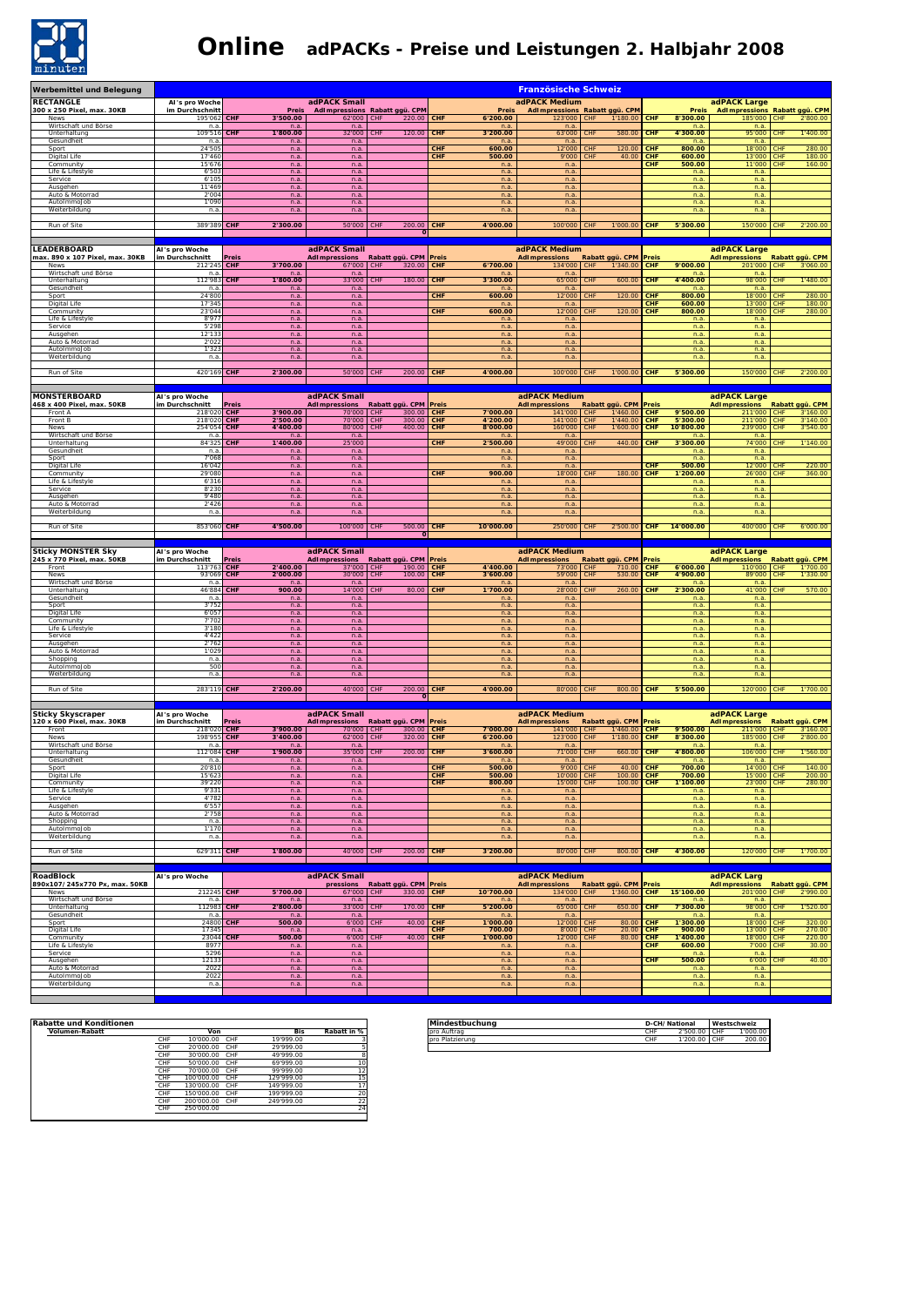

AutoImmoJob Weiterbildung 2022 n.a. n.a. n.a. n.a. n.a. n.a. n.a. | n.a. | n.a. | n.a. | n.a. | n.a. | n.a. | n.a. | n.a. | n.a. | n.a. | n.a. | n.a. | n.a. | n.a. | n.a.

| <b>RECTANGLE</b><br>adPACK Medium<br>adPACK Small<br>adPACK Large<br>Al's pro Woche<br>300 x 250 Pixel, max. 30KB<br>im Durchschnit<br>AdImpressions Rabatt ggü. CPM<br>Adlmpressions Rabatt ggü. CPM<br>AdImpressions Rabatt ggü. CPM<br>Preis<br><b>Preis</b><br>Preis<br>CHF<br>CHF<br>195'062<br><b>CHF</b><br>3'500.00<br>62'000<br>220.00<br><b>CHE</b><br>6'200.00<br>123'000 CHF<br>1'180.00<br>CHF<br>8'300.00<br>185'000<br>2'800.00<br><b>News</b><br>Wirtschaft und Börse<br>n.a.<br>n.a.<br>n.a.<br>n.a.<br>n.a<br>n.a.<br>n.a.<br>109'516<br>1'800.00<br>32'000<br>CHF<br>3'200.00<br>63'000<br>CHF<br>4'300.00<br>95'000<br>1'400.00<br>Unterhaltung<br><b>CHF</b><br>120.00<br><b>CHF</b><br>580.00<br><b>CHF</b><br><b>CHF</b><br>Gesundheit<br>n.a.<br>n.a.<br>n.a<br>n.a<br>n.a.<br>n.a.<br>n.a<br><b>CHF</b><br>280.00<br>Sport<br>24'50!<br><b>CHF</b><br>600.00<br>12'000<br><b>CHF</b><br>120.00<br>800.00<br>18'000<br><b>CHF</b><br>n.a.<br>n.a.<br>CHF<br>500.00<br><b>CHF</b><br>180.00<br>Digital Life<br>9'000<br><b>CHF</b><br>40.00<br>600.00<br>13'000<br><b>CHF</b><br>17'460<br>n.a.<br>n.a.<br>15'67<br><b>CHF</b><br>500.00<br>11'000<br><b>CHF</b><br>160.00<br>Community<br>n.a.<br>n.a.<br>n.a<br>n.a<br>Life & Lifestyle<br>6'50<br>n.a.<br>n.a.<br>n.a.<br>n.a.<br>n.a.<br>n.a.<br>Service<br>6'10<br>n.a.<br>n.a.<br>n.a<br>n.a<br>n.a.<br>n.a.<br>Ausgehen<br>11'46'<br>n.a.<br>n.a.<br>n.a.<br>n.a.<br>n.a.<br>n.a.<br>2'004<br>Auto & Motorrad<br>n.a.<br>n.a.<br>n.a.<br>n.a.<br>n.a.<br>n.a.<br>AutoImmoJob<br>1'090<br>n.a.<br>n.a.<br>n.a<br>n.a<br>n.a.<br>n.a.<br>Weiterbildung<br>n.a<br>n.a.<br>n.a<br>n.a.<br>n.a<br>n.a<br>n.a.<br>389'389<br>2'300.00<br>50'000<br>200.00<br>CHF<br>4'000.00<br>CHF<br>5'300.00<br>2'200.00<br>Run of Site<br><b>CHF</b><br><b>CHF</b><br>100'000<br><b>CHF</b><br>1'000.00<br>150'000<br><b>CHF</b><br>$\Omega$<br><b>LEADERBOARD</b><br>adPACK Small<br>adPACK Medium<br>adPACK Large<br>Al's pro Woche<br>im Durchschnitt<br>AdImpressions Rabatt ggü. CPM<br>max. 890 x 107 Pixel, max. 30KB<br>Preis<br><b>AdImpressions</b><br>Rabatt ggü. CPM Preis<br><b>AdImpressions</b><br>Rabatt ggü. CPM Preis<br>201'000 CHF<br><b>CHF</b><br>3'700.00<br>67'000<br>CHF<br>320.00<br><b>CHF</b><br>6'700.00<br>CHF<br>1'340.00<br><b>CHF</b><br>9'000.00<br>3'060.00<br>News<br>212'24!<br>134'000<br>Wirtschaft und Börse<br>n.a.<br>n.a<br>n.a.<br>n.a<br>n.a<br>n.a<br>n.a.<br>112'983<br>1'800.00<br>33'000<br>180.00<br>CHF<br>3'300.00<br>65'000<br><b>CHF</b><br>600.00<br>CHF<br>4'400.00<br>98'000<br>1'480.00<br>Unterhaltung<br><b>CHF</b><br><b>CHF</b><br><b>CHF</b><br>Gesundheit<br>n.a<br>n.a.<br>n.a.<br>n.a<br>n.a<br>n.a.<br>n.a.<br>24'80<br><b>CHF</b><br>600.00<br>12'000<br><b>CHF</b><br>120.00<br><b>CHF</b><br>800.00<br>18'000<br>280.00<br>Sport<br><b>CHF</b><br>n.a.<br>n.a.<br>17'34<br><b>CHF</b><br>600.00<br>13'000<br><b>CHF</b><br>180.00<br>Digital Life<br>n.a.<br>n.a.<br>n.a.<br>n.a.<br>23'04<br>CHF<br>600.00<br>12'000<br><b>CHF</b><br>800.00<br><b>CHF</b><br>280.00<br>120.00<br>18'000<br>Community<br>n.a.<br>n.a.<br>CHF<br>8'97<br>Life & Lifestyle<br>n.a<br>n.a.<br>n.a.<br>n.a<br>n.a.<br>n.a.<br>Service<br>5'298<br>n.a.<br>n.a.<br>n.a.<br>n.a.<br>n.a.<br>n.a.<br>Ausgehen<br>12'13<br>n.a.<br>n.a.<br>n.a.<br>n.a<br>n.a.<br>n.a.<br>Auto & Motorrad<br>2'02<br>n.a.<br>n.a.<br>n.a.<br>n.a<br>n.a.<br>n.a.<br>AutoImmoJob<br>1'32.<br>n.a.<br>n.a.<br>n.a.<br>n.a.<br>n.a.<br>n.a.<br>Weiterbildung<br>n.a<br>n.a.<br>n.a.<br>n.a<br>n.a<br>n.a.<br>n.a.<br><b>CHF</b><br><b>CHF</b><br>2'200.00<br>Run of Site<br>420'169 CHF<br>2'300.00<br>50'000<br><b>CHF</b><br>200.00<br>4'000.00<br>100'000 CHF<br>1'000.00<br>5'300.00<br>150'000<br><b>CHF</b><br>adPACK Small<br>adPACK Medium<br>adPACK Large<br><b>MONSTERBOARD</b><br>Al's pro Woche<br>Rabatt ggü. CPM<br>468 x 400 Pixel, max. 50KB<br>im Durchschnitt<br><b>AdImpressions</b><br>Rabatt ggü. CPM<br><b>AdImpressions</b><br>Rabatt ggü. CPM<br><b>AdImpressions</b><br>Preis<br><b>Preis</b><br><b>Preis</b><br>218'020<br><b>CHF</b><br>3'900.00<br><b>CHF</b><br>300.00<br><b>CHF</b><br>7'000.00<br><b>CHF</b><br>1'460.00<br><b>CHF</b><br>9'500.00<br>211'000<br>CHF<br>3'160.00<br>Front A<br>70'000<br>141'000<br>5'300.00<br>3'140.00<br>Front B<br>218'020<br><b>CHF</b><br>2'500.00<br>70'000<br><b>CHF</b><br>300.00<br><b>CHF</b><br>4'200.00<br>141'000<br><b>CHF</b><br>1'440.00<br><b>CHF</b><br>211'000<br><b>CHF</b><br>239'000<br><b>CHF</b><br>3'540.00<br>254'05<br>4'400.00<br>80'000<br><b>CHF</b><br>400.00<br><b>CHF</b><br>8'000.00<br>160'000<br><b>CHF</b><br>1'600.00<br><b>CHF</b><br>10'800.00<br><b>News</b><br><b>CHF</b><br>Wirtschaft und Börse<br>n.a.<br>n.a.<br>n.a.<br>n.a.<br>n.a.<br>n.a.<br>n.a<br>1'400.00<br>25'000<br><b>CHF</b><br>2'500.00<br>49'000<br><b>CHF</b><br>3'300.00<br>74'000<br>1'140.00<br>Unterhaltung<br>84'32!<br><b>CHF</b><br><b>CHF</b><br>440.00<br><b>CHF</b><br>Gesundheit<br>n.a.<br>n.a.<br>n.a<br>n.a.<br>n.a.<br>n.a<br>n.a<br>Sport<br>7'068<br>n.a.<br>n.a.<br>n.a.<br>n.a<br>n.a.<br>n.a.<br>500.00<br>12'000<br>Digital Life<br>16'042<br><b>CHF</b><br><b>CHF</b><br>220.00<br>n.a.<br>n.a.<br>n.a<br>n.a<br>CHF<br>900.00<br>180.00<br><b>CHF</b><br>360.00<br>29'08<br>n.a.<br>18'000<br><b>CHF</b><br>1'200.00<br>26'000<br><b>CHF</b><br>Community<br>n.a.<br>Life & Lifestyle<br>6'31<br>n.a.<br>n.a.<br>n.a.<br>n.a.<br>n.a.<br>n.a.<br>Service<br>8'23(<br>n.a.<br>n.a.<br>n.a.<br>n.a.<br>n.a.<br>n.a.<br>9'48(<br>Ausgehen<br>n.a.<br>n.a.<br>n.a<br>n.a<br>n.a.<br>n.a.<br>Auto & Motorrad<br>2'42<br>n.a.<br>n.a<br>n.a<br>n.a<br>n.a.<br>n.a.<br>Weiterbildung<br>n.a<br>n.a.<br>n.a.<br>n.a<br>n.a<br>n.a.<br>n.a.<br>500.00 CHF<br>10'000.00<br>2'500.00<br>CHF<br>14'000.00<br>400'000<br>6'000.00<br>Run of Site<br>853'060<br><b>CHF</b><br>4'500.00<br>100'000<br><b>CHF</b><br>250'000<br><b>CHF</b><br><b>CHF</b><br>$\mathbf{O}$<br><b>Sticky MONSTER Sky</b><br>adPACK Small<br>adPACK Medium<br>adPACK Large<br>Al's pro Woche<br>AdImpressions Rabatt ggü. CPM Preis<br>245 x 770 Pixel, max. 50KB<br>im Durchschnitt<br><b>Preis</b><br>Rabatt ggü. CPM Preis<br>AdImpressions Rabatt ggü. CPM<br><b>AdImpressions</b><br>37'000 CHF 190.00 CHF<br>113'763 CHF<br>4'400.00<br>73'000 CHF<br>710.00 CHF<br>6'000.00<br>2'400.00<br>110'000 CHF<br>1'700.00<br>93'069<br>2'000.00<br>30'000<br>CHF<br><b>CHF</b><br>3'600.00<br>59'000<br><b>CHF</b><br>4'900.00<br>89'000<br>1'330.00<br>News<br><b>CHF</b><br>100.00<br><b>CHF</b><br>530.00<br><b>CHF</b><br>Wirtschaft und Börse<br>n.a.<br>n.a<br>n.a.<br>n.a.<br>n.a<br>n.a.<br>n.a.<br>Unterhaltung<br>46'884<br><b>CHF</b><br>900.00<br>14'000<br><b>CHF</b><br>80.00 CHF<br>1'700.00<br>28'000<br><b>CHF</b><br>260.00<br><b>CHF</b><br>2'300.00<br>41'000<br>CHF<br>570.00<br>Gesundheit<br>n.a<br>n.a.<br>n.a.<br>n.a.<br>n.a.<br>n.a.<br>n.a.<br>3'75.<br>Sport<br>n.a.<br>n.a.<br>n.a.<br>n.a.<br>n.a.<br>n.a.<br>Digital Life<br>6'057<br>n.a.<br>n.a.<br>n.a.<br>n.a.<br>n.a.<br>n.a.<br>7'702<br>Community<br>n.a.<br>n.a.<br>n.a.<br>n.a.<br>n.a.<br>n.a.<br>3'180<br>Life & Lifestyle<br>n.a.<br>n.a.<br>n.a.<br>n.a.<br>n.a.<br>n.a.<br>Service<br>4'422<br>n.a.<br>n.a.<br>n.a.<br>n.a.<br>n.a.<br>n.a.<br>2'762<br>Ausgehen<br>n.a.<br>n.a.<br>n.a.<br>n.a.<br>n.a.<br>n.a.<br>Auto & Motorrad<br>1'02'<br>n.a.<br>n.a.<br>n.a.<br>n.a.<br>n.a.<br>n.a.<br>Shopping<br>n.a.<br>n.a.<br>n.a.<br>n.a.<br>n.a.<br>n.a.<br>n.a<br>50C<br>AutoImmoJob<br>n.a.<br>n.a.<br>n.a.<br>n.a.<br>n.a.<br>n.a.<br>Weiterbildung<br>n.a<br>n.a.<br>n.a.<br>n.a.<br>n.a.<br>n.a.<br>n.a.<br>CHF<br>2'200.00<br><b>CHF</b><br>4'000.00<br>800.00<br>CHF<br>1'700.00<br>Run of Site<br>283'119<br>40'000<br><b>CHF</b><br>200.00<br>80'000<br><b>CHF</b><br>5'500.00<br>120'000<br>CHF<br>ი<br>adPACK Medium<br><b>Sticky Skyscraper</b><br>AI's pro Woche<br>adPACK Small<br>adPACK Large<br>120 x 600 Pixel, max. 30KB<br>im Durchschnitt<br><b>AdImpressions</b><br><b>AdImpressions</b><br>Rabatt ggü. CPM Preis<br><b>AdImpressions</b><br>Rabatt ggü. CPM<br>Rabatt ggü. CPM<br>Preis<br>Preis<br><b>CHF</b><br>3'900.00<br><b>CHF</b><br>300.00<br><b>CHF</b><br>7'000.00<br>141'000<br>CHF<br>1'460.00<br><b>CHF</b><br>9'500.00<br>211'000<br><b>CHF</b><br>Front<br>218'020<br>70'000<br>3'160.00<br><b>News</b><br>198'95!<br>CHF<br>3'400.00<br>62'000<br><b>CHF</b><br>320.00<br>CHF<br>6'200.00<br>123'000<br><b>CHF</b><br>1'180.00<br><b>CHF</b><br>8'300.00<br>185'000<br><b>CHF</b><br>2'800.00<br>Wirtschaft und Börse<br>n.a.<br>n.a<br>n.a.<br>n.a<br>n.a<br>n.a<br>n.a.<br>112'08<br>1'900.00<br>35'000<br><b>CHF</b><br>200.00<br><b>CHF</b><br>3'600.00<br>71'000<br>CHF<br>660.00<br><b>CHF</b><br>4'800.00<br>106'000<br>1'560.00<br>Unterhaltung<br><b>CHF</b><br><b>CHF</b><br>Gesundheit<br>n.a.<br>n.a.<br>n.a.<br>n.a<br>n.a.<br>n.a<br>n.a.<br>20'810<br>500.00<br>9'000<br><b>CHF</b><br>40.00<br><b>CHF</b><br>700.00<br>14'000<br>140.00<br>Sport<br>n.a.<br><b>CHF</b><br><b>CHF</b><br>n.a.<br><b>CHF</b><br>200.00<br>Digital Life<br>15'62<br><b>CHF</b><br>500.00<br>10'000<br><b>CHF</b><br>100.00<br>700.00<br>15'000<br><b>CHF</b><br>n.a.<br>n.a.<br><b>CHF</b><br>23'000<br><b>CHF</b><br>39'220<br>100.00<br><b>CHF</b><br>Community<br>n.a.<br><b>CHF</b><br>n.a. | <b>Werbemittel und Belegung</b> |                |      |      |              | <b>Französische Schweiz</b> |  |              |      |        |
|-------------------------------------------------------------------------------------------------------------------------------------------------------------------------------------------------------------------------------------------------------------------------------------------------------------------------------------------------------------------------------------------------------------------------------------------------------------------------------------------------------------------------------------------------------------------------------------------------------------------------------------------------------------------------------------------------------------------------------------------------------------------------------------------------------------------------------------------------------------------------------------------------------------------------------------------------------------------------------------------------------------------------------------------------------------------------------------------------------------------------------------------------------------------------------------------------------------------------------------------------------------------------------------------------------------------------------------------------------------------------------------------------------------------------------------------------------------------------------------------------------------------------------------------------------------------------------------------------------------------------------------------------------------------------------------------------------------------------------------------------------------------------------------------------------------------------------------------------------------------------------------------------------------------------------------------------------------------------------------------------------------------------------------------------------------------------------------------------------------------------------------------------------------------------------------------------------------------------------------------------------------------------------------------------------------------------------------------------------------------------------------------------------------------------------------------------------------------------------------------------------------------------------------------------------------------------------------------------------------------------------------------------------------------------------------------------------------------------------------------------------------------------------------------------------------------------------------------------------------------------------------------------------------------------------------------------------------------------------------------------------------------------------------------------------------------------------------------------------------------------------------------------------------------------------------------------------------------------------------------------------------------------------------------------------------------------------------------------------------------------------------------------------------------------------------------------------------------------------------------------------------------------------------------------------------------------------------------------------------------------------------------------------------------------------------------------------------------------------------------------------------------------------------------------------------------------------------------------------------------------------------------------------------------------------------------------------------------------------------------------------------------------------------------------------------------------------------------------------------------------------------------------------------------------------------------------------------------------------------------------------------------------------------------------------------------------------------------------------------------------------------------------------------------------------------------------------------------------------------------------------------------------------------------------------------------------------------------------------------------------------------------------------------------------------------------------------------------------------------------------------------------------------------------------------------------------------------------------------------------------------------------------------------------------------------------------------------------------------------------------------------------------------------------------------------------------------------------------------------------------------------------------------------------------------------------------------------------------------------------------------------------------------------------------------------------------------------------------------------------------------------------------------------------------------------------------------------------------------------------------------------------------------------------------------------------------------------------------------------------------------------------------------------------------------------------------------------------------------------------------------------------------------------------------------------------------------------------------------------------------------------------------------------------------------------------------------------------------------------------------------------------------------------------------------------------------------------------------------------------------------------------------------------------------------------------------------------------------------------------------------------------------------------------------------------------------------------------------------------------------------------------------------------------------------------------------------------------------------------------------------------------------------------------------------------------------------------------------------------------------------------------------------------------------------------------------------------------------------------------------------------------------------------------------------------------------------------------------------------------------------------------------------------------------------------------------------------------------------------------------------------------------------------------------------------------------------------------------------------------------------------------------------------------------------------------------------------------------------------------------------------------------------------------------------------------------------------------------------------------------------------------------------------------------------------------------------------------------------------------------------------------------------------------------------------------------------------------------------------------------------------------------------------------------------------------------------------------------------------------------------------------------------------------------------------------------------------------------------------------------------------------------------------------------------------------------------------------------------------------------------------------------------------------------------------------------------------------------------------------------------------------------------------------------------------------------------------------------------------------------------------------------------------------------------------------------------------------------------------------------------------------------------------------------------------------------------------------------------------------------------------------------------------------------------------------------------------------------------------------------------------------------------------------------------------------------------------------------------------------------------------------------------------------------------------------------------------------------------------------------------------------------------------------------------------------------------------------------------------------------------------------------------------------------------------------------------------------------------------------------------------------------------------------------------------------------------------------------------------------------------------------------------------------------------------------------------------------------------------------------------------------------------------------------------------------------------------------------------------------|---------------------------------|----------------|------|------|--------------|-----------------------------|--|--------------|------|--------|
|                                                                                                                                                                                                                                                                                                                                                                                                                                                                                                                                                                                                                                                                                                                                                                                                                                                                                                                                                                                                                                                                                                                                                                                                                                                                                                                                                                                                                                                                                                                                                                                                                                                                                                                                                                                                                                                                                                                                                                                                                                                                                                                                                                                                                                                                                                                                                                                                                                                                                                                                                                                                                                                                                                                                                                                                                                                                                                                                                                                                                                                                                                                                                                                                                                                                                                                                                                                                                                                                                                                                                                                                                                                                                                                                                                                                                                                                                                                                                                                                                                                                                                                                                                                                                                                                                                                                                                                                                                                                                                                                                                                                                                                                                                                                                                                                                                                                                                                                                                                                                                                                                                                                                                                                                                                                                                                                                                                                                                                                                                                                                                                                                                                                                                                                                                                                                                                                                                                                                                                                                                                                                                                                                                                                                                                                                                                                                                                                                                                                                                                                                                                                                                                                                                                                                                                                                                                                                                                                                                                                                                                                                                                                                                                                                                                                                                                                                                                                                                                                                                                                                                                                                                                                                                                                                                                                                                                                                                                                                                                                                                                                                                                                                                                                                                                                                                                                                                                                                                                                                                                                                                                                                                                                                                                                                                                                                                                                                                                                                                                                                                                                                                                                                                                                                                                                                                                                                                                                                                                                                           |                                 |                |      |      |              |                             |  |              |      |        |
|                                                                                                                                                                                                                                                                                                                                                                                                                                                                                                                                                                                                                                                                                                                                                                                                                                                                                                                                                                                                                                                                                                                                                                                                                                                                                                                                                                                                                                                                                                                                                                                                                                                                                                                                                                                                                                                                                                                                                                                                                                                                                                                                                                                                                                                                                                                                                                                                                                                                                                                                                                                                                                                                                                                                                                                                                                                                                                                                                                                                                                                                                                                                                                                                                                                                                                                                                                                                                                                                                                                                                                                                                                                                                                                                                                                                                                                                                                                                                                                                                                                                                                                                                                                                                                                                                                                                                                                                                                                                                                                                                                                                                                                                                                                                                                                                                                                                                                                                                                                                                                                                                                                                                                                                                                                                                                                                                                                                                                                                                                                                                                                                                                                                                                                                                                                                                                                                                                                                                                                                                                                                                                                                                                                                                                                                                                                                                                                                                                                                                                                                                                                                                                                                                                                                                                                                                                                                                                                                                                                                                                                                                                                                                                                                                                                                                                                                                                                                                                                                                                                                                                                                                                                                                                                                                                                                                                                                                                                                                                                                                                                                                                                                                                                                                                                                                                                                                                                                                                                                                                                                                                                                                                                                                                                                                                                                                                                                                                                                                                                                                                                                                                                                                                                                                                                                                                                                                                                                                                                                                           |                                 |                |      |      |              |                             |  |              |      |        |
|                                                                                                                                                                                                                                                                                                                                                                                                                                                                                                                                                                                                                                                                                                                                                                                                                                                                                                                                                                                                                                                                                                                                                                                                                                                                                                                                                                                                                                                                                                                                                                                                                                                                                                                                                                                                                                                                                                                                                                                                                                                                                                                                                                                                                                                                                                                                                                                                                                                                                                                                                                                                                                                                                                                                                                                                                                                                                                                                                                                                                                                                                                                                                                                                                                                                                                                                                                                                                                                                                                                                                                                                                                                                                                                                                                                                                                                                                                                                                                                                                                                                                                                                                                                                                                                                                                                                                                                                                                                                                                                                                                                                                                                                                                                                                                                                                                                                                                                                                                                                                                                                                                                                                                                                                                                                                                                                                                                                                                                                                                                                                                                                                                                                                                                                                                                                                                                                                                                                                                                                                                                                                                                                                                                                                                                                                                                                                                                                                                                                                                                                                                                                                                                                                                                                                                                                                                                                                                                                                                                                                                                                                                                                                                                                                                                                                                                                                                                                                                                                                                                                                                                                                                                                                                                                                                                                                                                                                                                                                                                                                                                                                                                                                                                                                                                                                                                                                                                                                                                                                                                                                                                                                                                                                                                                                                                                                                                                                                                                                                                                                                                                                                                                                                                                                                                                                                                                                                                                                                                                                           |                                 |                |      |      |              |                             |  |              |      |        |
|                                                                                                                                                                                                                                                                                                                                                                                                                                                                                                                                                                                                                                                                                                                                                                                                                                                                                                                                                                                                                                                                                                                                                                                                                                                                                                                                                                                                                                                                                                                                                                                                                                                                                                                                                                                                                                                                                                                                                                                                                                                                                                                                                                                                                                                                                                                                                                                                                                                                                                                                                                                                                                                                                                                                                                                                                                                                                                                                                                                                                                                                                                                                                                                                                                                                                                                                                                                                                                                                                                                                                                                                                                                                                                                                                                                                                                                                                                                                                                                                                                                                                                                                                                                                                                                                                                                                                                                                                                                                                                                                                                                                                                                                                                                                                                                                                                                                                                                                                                                                                                                                                                                                                                                                                                                                                                                                                                                                                                                                                                                                                                                                                                                                                                                                                                                                                                                                                                                                                                                                                                                                                                                                                                                                                                                                                                                                                                                                                                                                                                                                                                                                                                                                                                                                                                                                                                                                                                                                                                                                                                                                                                                                                                                                                                                                                                                                                                                                                                                                                                                                                                                                                                                                                                                                                                                                                                                                                                                                                                                                                                                                                                                                                                                                                                                                                                                                                                                                                                                                                                                                                                                                                                                                                                                                                                                                                                                                                                                                                                                                                                                                                                                                                                                                                                                                                                                                                                                                                                                                                           |                                 |                |      |      |              |                             |  |              |      |        |
|                                                                                                                                                                                                                                                                                                                                                                                                                                                                                                                                                                                                                                                                                                                                                                                                                                                                                                                                                                                                                                                                                                                                                                                                                                                                                                                                                                                                                                                                                                                                                                                                                                                                                                                                                                                                                                                                                                                                                                                                                                                                                                                                                                                                                                                                                                                                                                                                                                                                                                                                                                                                                                                                                                                                                                                                                                                                                                                                                                                                                                                                                                                                                                                                                                                                                                                                                                                                                                                                                                                                                                                                                                                                                                                                                                                                                                                                                                                                                                                                                                                                                                                                                                                                                                                                                                                                                                                                                                                                                                                                                                                                                                                                                                                                                                                                                                                                                                                                                                                                                                                                                                                                                                                                                                                                                                                                                                                                                                                                                                                                                                                                                                                                                                                                                                                                                                                                                                                                                                                                                                                                                                                                                                                                                                                                                                                                                                                                                                                                                                                                                                                                                                                                                                                                                                                                                                                                                                                                                                                                                                                                                                                                                                                                                                                                                                                                                                                                                                                                                                                                                                                                                                                                                                                                                                                                                                                                                                                                                                                                                                                                                                                                                                                                                                                                                                                                                                                                                                                                                                                                                                                                                                                                                                                                                                                                                                                                                                                                                                                                                                                                                                                                                                                                                                                                                                                                                                                                                                                                                           |                                 |                |      |      |              |                             |  |              |      |        |
|                                                                                                                                                                                                                                                                                                                                                                                                                                                                                                                                                                                                                                                                                                                                                                                                                                                                                                                                                                                                                                                                                                                                                                                                                                                                                                                                                                                                                                                                                                                                                                                                                                                                                                                                                                                                                                                                                                                                                                                                                                                                                                                                                                                                                                                                                                                                                                                                                                                                                                                                                                                                                                                                                                                                                                                                                                                                                                                                                                                                                                                                                                                                                                                                                                                                                                                                                                                                                                                                                                                                                                                                                                                                                                                                                                                                                                                                                                                                                                                                                                                                                                                                                                                                                                                                                                                                                                                                                                                                                                                                                                                                                                                                                                                                                                                                                                                                                                                                                                                                                                                                                                                                                                                                                                                                                                                                                                                                                                                                                                                                                                                                                                                                                                                                                                                                                                                                                                                                                                                                                                                                                                                                                                                                                                                                                                                                                                                                                                                                                                                                                                                                                                                                                                                                                                                                                                                                                                                                                                                                                                                                                                                                                                                                                                                                                                                                                                                                                                                                                                                                                                                                                                                                                                                                                                                                                                                                                                                                                                                                                                                                                                                                                                                                                                                                                                                                                                                                                                                                                                                                                                                                                                                                                                                                                                                                                                                                                                                                                                                                                                                                                                                                                                                                                                                                                                                                                                                                                                                                                           |                                 |                |      |      |              |                             |  |              |      |        |
|                                                                                                                                                                                                                                                                                                                                                                                                                                                                                                                                                                                                                                                                                                                                                                                                                                                                                                                                                                                                                                                                                                                                                                                                                                                                                                                                                                                                                                                                                                                                                                                                                                                                                                                                                                                                                                                                                                                                                                                                                                                                                                                                                                                                                                                                                                                                                                                                                                                                                                                                                                                                                                                                                                                                                                                                                                                                                                                                                                                                                                                                                                                                                                                                                                                                                                                                                                                                                                                                                                                                                                                                                                                                                                                                                                                                                                                                                                                                                                                                                                                                                                                                                                                                                                                                                                                                                                                                                                                                                                                                                                                                                                                                                                                                                                                                                                                                                                                                                                                                                                                                                                                                                                                                                                                                                                                                                                                                                                                                                                                                                                                                                                                                                                                                                                                                                                                                                                                                                                                                                                                                                                                                                                                                                                                                                                                                                                                                                                                                                                                                                                                                                                                                                                                                                                                                                                                                                                                                                                                                                                                                                                                                                                                                                                                                                                                                                                                                                                                                                                                                                                                                                                                                                                                                                                                                                                                                                                                                                                                                                                                                                                                                                                                                                                                                                                                                                                                                                                                                                                                                                                                                                                                                                                                                                                                                                                                                                                                                                                                                                                                                                                                                                                                                                                                                                                                                                                                                                                                                                           |                                 |                |      |      |              |                             |  |              |      |        |
|                                                                                                                                                                                                                                                                                                                                                                                                                                                                                                                                                                                                                                                                                                                                                                                                                                                                                                                                                                                                                                                                                                                                                                                                                                                                                                                                                                                                                                                                                                                                                                                                                                                                                                                                                                                                                                                                                                                                                                                                                                                                                                                                                                                                                                                                                                                                                                                                                                                                                                                                                                                                                                                                                                                                                                                                                                                                                                                                                                                                                                                                                                                                                                                                                                                                                                                                                                                                                                                                                                                                                                                                                                                                                                                                                                                                                                                                                                                                                                                                                                                                                                                                                                                                                                                                                                                                                                                                                                                                                                                                                                                                                                                                                                                                                                                                                                                                                                                                                                                                                                                                                                                                                                                                                                                                                                                                                                                                                                                                                                                                                                                                                                                                                                                                                                                                                                                                                                                                                                                                                                                                                                                                                                                                                                                                                                                                                                                                                                                                                                                                                                                                                                                                                                                                                                                                                                                                                                                                                                                                                                                                                                                                                                                                                                                                                                                                                                                                                                                                                                                                                                                                                                                                                                                                                                                                                                                                                                                                                                                                                                                                                                                                                                                                                                                                                                                                                                                                                                                                                                                                                                                                                                                                                                                                                                                                                                                                                                                                                                                                                                                                                                                                                                                                                                                                                                                                                                                                                                                                                           |                                 |                |      |      |              |                             |  |              |      |        |
|                                                                                                                                                                                                                                                                                                                                                                                                                                                                                                                                                                                                                                                                                                                                                                                                                                                                                                                                                                                                                                                                                                                                                                                                                                                                                                                                                                                                                                                                                                                                                                                                                                                                                                                                                                                                                                                                                                                                                                                                                                                                                                                                                                                                                                                                                                                                                                                                                                                                                                                                                                                                                                                                                                                                                                                                                                                                                                                                                                                                                                                                                                                                                                                                                                                                                                                                                                                                                                                                                                                                                                                                                                                                                                                                                                                                                                                                                                                                                                                                                                                                                                                                                                                                                                                                                                                                                                                                                                                                                                                                                                                                                                                                                                                                                                                                                                                                                                                                                                                                                                                                                                                                                                                                                                                                                                                                                                                                                                                                                                                                                                                                                                                                                                                                                                                                                                                                                                                                                                                                                                                                                                                                                                                                                                                                                                                                                                                                                                                                                                                                                                                                                                                                                                                                                                                                                                                                                                                                                                                                                                                                                                                                                                                                                                                                                                                                                                                                                                                                                                                                                                                                                                                                                                                                                                                                                                                                                                                                                                                                                                                                                                                                                                                                                                                                                                                                                                                                                                                                                                                                                                                                                                                                                                                                                                                                                                                                                                                                                                                                                                                                                                                                                                                                                                                                                                                                                                                                                                                                                           |                                 |                |      |      |              |                             |  |              |      |        |
|                                                                                                                                                                                                                                                                                                                                                                                                                                                                                                                                                                                                                                                                                                                                                                                                                                                                                                                                                                                                                                                                                                                                                                                                                                                                                                                                                                                                                                                                                                                                                                                                                                                                                                                                                                                                                                                                                                                                                                                                                                                                                                                                                                                                                                                                                                                                                                                                                                                                                                                                                                                                                                                                                                                                                                                                                                                                                                                                                                                                                                                                                                                                                                                                                                                                                                                                                                                                                                                                                                                                                                                                                                                                                                                                                                                                                                                                                                                                                                                                                                                                                                                                                                                                                                                                                                                                                                                                                                                                                                                                                                                                                                                                                                                                                                                                                                                                                                                                                                                                                                                                                                                                                                                                                                                                                                                                                                                                                                                                                                                                                                                                                                                                                                                                                                                                                                                                                                                                                                                                                                                                                                                                                                                                                                                                                                                                                                                                                                                                                                                                                                                                                                                                                                                                                                                                                                                                                                                                                                                                                                                                                                                                                                                                                                                                                                                                                                                                                                                                                                                                                                                                                                                                                                                                                                                                                                                                                                                                                                                                                                                                                                                                                                                                                                                                                                                                                                                                                                                                                                                                                                                                                                                                                                                                                                                                                                                                                                                                                                                                                                                                                                                                                                                                                                                                                                                                                                                                                                                                                           |                                 |                |      |      |              |                             |  |              |      |        |
|                                                                                                                                                                                                                                                                                                                                                                                                                                                                                                                                                                                                                                                                                                                                                                                                                                                                                                                                                                                                                                                                                                                                                                                                                                                                                                                                                                                                                                                                                                                                                                                                                                                                                                                                                                                                                                                                                                                                                                                                                                                                                                                                                                                                                                                                                                                                                                                                                                                                                                                                                                                                                                                                                                                                                                                                                                                                                                                                                                                                                                                                                                                                                                                                                                                                                                                                                                                                                                                                                                                                                                                                                                                                                                                                                                                                                                                                                                                                                                                                                                                                                                                                                                                                                                                                                                                                                                                                                                                                                                                                                                                                                                                                                                                                                                                                                                                                                                                                                                                                                                                                                                                                                                                                                                                                                                                                                                                                                                                                                                                                                                                                                                                                                                                                                                                                                                                                                                                                                                                                                                                                                                                                                                                                                                                                                                                                                                                                                                                                                                                                                                                                                                                                                                                                                                                                                                                                                                                                                                                                                                                                                                                                                                                                                                                                                                                                                                                                                                                                                                                                                                                                                                                                                                                                                                                                                                                                                                                                                                                                                                                                                                                                                                                                                                                                                                                                                                                                                                                                                                                                                                                                                                                                                                                                                                                                                                                                                                                                                                                                                                                                                                                                                                                                                                                                                                                                                                                                                                                                                           |                                 |                |      |      |              |                             |  |              |      |        |
|                                                                                                                                                                                                                                                                                                                                                                                                                                                                                                                                                                                                                                                                                                                                                                                                                                                                                                                                                                                                                                                                                                                                                                                                                                                                                                                                                                                                                                                                                                                                                                                                                                                                                                                                                                                                                                                                                                                                                                                                                                                                                                                                                                                                                                                                                                                                                                                                                                                                                                                                                                                                                                                                                                                                                                                                                                                                                                                                                                                                                                                                                                                                                                                                                                                                                                                                                                                                                                                                                                                                                                                                                                                                                                                                                                                                                                                                                                                                                                                                                                                                                                                                                                                                                                                                                                                                                                                                                                                                                                                                                                                                                                                                                                                                                                                                                                                                                                                                                                                                                                                                                                                                                                                                                                                                                                                                                                                                                                                                                                                                                                                                                                                                                                                                                                                                                                                                                                                                                                                                                                                                                                                                                                                                                                                                                                                                                                                                                                                                                                                                                                                                                                                                                                                                                                                                                                                                                                                                                                                                                                                                                                                                                                                                                                                                                                                                                                                                                                                                                                                                                                                                                                                                                                                                                                                                                                                                                                                                                                                                                                                                                                                                                                                                                                                                                                                                                                                                                                                                                                                                                                                                                                                                                                                                                                                                                                                                                                                                                                                                                                                                                                                                                                                                                                                                                                                                                                                                                                                                                           |                                 |                |      |      |              |                             |  |              |      |        |
|                                                                                                                                                                                                                                                                                                                                                                                                                                                                                                                                                                                                                                                                                                                                                                                                                                                                                                                                                                                                                                                                                                                                                                                                                                                                                                                                                                                                                                                                                                                                                                                                                                                                                                                                                                                                                                                                                                                                                                                                                                                                                                                                                                                                                                                                                                                                                                                                                                                                                                                                                                                                                                                                                                                                                                                                                                                                                                                                                                                                                                                                                                                                                                                                                                                                                                                                                                                                                                                                                                                                                                                                                                                                                                                                                                                                                                                                                                                                                                                                                                                                                                                                                                                                                                                                                                                                                                                                                                                                                                                                                                                                                                                                                                                                                                                                                                                                                                                                                                                                                                                                                                                                                                                                                                                                                                                                                                                                                                                                                                                                                                                                                                                                                                                                                                                                                                                                                                                                                                                                                                                                                                                                                                                                                                                                                                                                                                                                                                                                                                                                                                                                                                                                                                                                                                                                                                                                                                                                                                                                                                                                                                                                                                                                                                                                                                                                                                                                                                                                                                                                                                                                                                                                                                                                                                                                                                                                                                                                                                                                                                                                                                                                                                                                                                                                                                                                                                                                                                                                                                                                                                                                                                                                                                                                                                                                                                                                                                                                                                                                                                                                                                                                                                                                                                                                                                                                                                                                                                                                                           |                                 |                |      |      |              |                             |  |              |      |        |
|                                                                                                                                                                                                                                                                                                                                                                                                                                                                                                                                                                                                                                                                                                                                                                                                                                                                                                                                                                                                                                                                                                                                                                                                                                                                                                                                                                                                                                                                                                                                                                                                                                                                                                                                                                                                                                                                                                                                                                                                                                                                                                                                                                                                                                                                                                                                                                                                                                                                                                                                                                                                                                                                                                                                                                                                                                                                                                                                                                                                                                                                                                                                                                                                                                                                                                                                                                                                                                                                                                                                                                                                                                                                                                                                                                                                                                                                                                                                                                                                                                                                                                                                                                                                                                                                                                                                                                                                                                                                                                                                                                                                                                                                                                                                                                                                                                                                                                                                                                                                                                                                                                                                                                                                                                                                                                                                                                                                                                                                                                                                                                                                                                                                                                                                                                                                                                                                                                                                                                                                                                                                                                                                                                                                                                                                                                                                                                                                                                                                                                                                                                                                                                                                                                                                                                                                                                                                                                                                                                                                                                                                                                                                                                                                                                                                                                                                                                                                                                                                                                                                                                                                                                                                                                                                                                                                                                                                                                                                                                                                                                                                                                                                                                                                                                                                                                                                                                                                                                                                                                                                                                                                                                                                                                                                                                                                                                                                                                                                                                                                                                                                                                                                                                                                                                                                                                                                                                                                                                                                                           |                                 |                |      |      |              |                             |  |              |      |        |
|                                                                                                                                                                                                                                                                                                                                                                                                                                                                                                                                                                                                                                                                                                                                                                                                                                                                                                                                                                                                                                                                                                                                                                                                                                                                                                                                                                                                                                                                                                                                                                                                                                                                                                                                                                                                                                                                                                                                                                                                                                                                                                                                                                                                                                                                                                                                                                                                                                                                                                                                                                                                                                                                                                                                                                                                                                                                                                                                                                                                                                                                                                                                                                                                                                                                                                                                                                                                                                                                                                                                                                                                                                                                                                                                                                                                                                                                                                                                                                                                                                                                                                                                                                                                                                                                                                                                                                                                                                                                                                                                                                                                                                                                                                                                                                                                                                                                                                                                                                                                                                                                                                                                                                                                                                                                                                                                                                                                                                                                                                                                                                                                                                                                                                                                                                                                                                                                                                                                                                                                                                                                                                                                                                                                                                                                                                                                                                                                                                                                                                                                                                                                                                                                                                                                                                                                                                                                                                                                                                                                                                                                                                                                                                                                                                                                                                                                                                                                                                                                                                                                                                                                                                                                                                                                                                                                                                                                                                                                                                                                                                                                                                                                                                                                                                                                                                                                                                                                                                                                                                                                                                                                                                                                                                                                                                                                                                                                                                                                                                                                                                                                                                                                                                                                                                                                                                                                                                                                                                                                                           |                                 |                |      |      |              |                             |  |              |      |        |
|                                                                                                                                                                                                                                                                                                                                                                                                                                                                                                                                                                                                                                                                                                                                                                                                                                                                                                                                                                                                                                                                                                                                                                                                                                                                                                                                                                                                                                                                                                                                                                                                                                                                                                                                                                                                                                                                                                                                                                                                                                                                                                                                                                                                                                                                                                                                                                                                                                                                                                                                                                                                                                                                                                                                                                                                                                                                                                                                                                                                                                                                                                                                                                                                                                                                                                                                                                                                                                                                                                                                                                                                                                                                                                                                                                                                                                                                                                                                                                                                                                                                                                                                                                                                                                                                                                                                                                                                                                                                                                                                                                                                                                                                                                                                                                                                                                                                                                                                                                                                                                                                                                                                                                                                                                                                                                                                                                                                                                                                                                                                                                                                                                                                                                                                                                                                                                                                                                                                                                                                                                                                                                                                                                                                                                                                                                                                                                                                                                                                                                                                                                                                                                                                                                                                                                                                                                                                                                                                                                                                                                                                                                                                                                                                                                                                                                                                                                                                                                                                                                                                                                                                                                                                                                                                                                                                                                                                                                                                                                                                                                                                                                                                                                                                                                                                                                                                                                                                                                                                                                                                                                                                                                                                                                                                                                                                                                                                                                                                                                                                                                                                                                                                                                                                                                                                                                                                                                                                                                                                                           |                                 |                |      |      |              |                             |  |              |      |        |
|                                                                                                                                                                                                                                                                                                                                                                                                                                                                                                                                                                                                                                                                                                                                                                                                                                                                                                                                                                                                                                                                                                                                                                                                                                                                                                                                                                                                                                                                                                                                                                                                                                                                                                                                                                                                                                                                                                                                                                                                                                                                                                                                                                                                                                                                                                                                                                                                                                                                                                                                                                                                                                                                                                                                                                                                                                                                                                                                                                                                                                                                                                                                                                                                                                                                                                                                                                                                                                                                                                                                                                                                                                                                                                                                                                                                                                                                                                                                                                                                                                                                                                                                                                                                                                                                                                                                                                                                                                                                                                                                                                                                                                                                                                                                                                                                                                                                                                                                                                                                                                                                                                                                                                                                                                                                                                                                                                                                                                                                                                                                                                                                                                                                                                                                                                                                                                                                                                                                                                                                                                                                                                                                                                                                                                                                                                                                                                                                                                                                                                                                                                                                                                                                                                                                                                                                                                                                                                                                                                                                                                                                                                                                                                                                                                                                                                                                                                                                                                                                                                                                                                                                                                                                                                                                                                                                                                                                                                                                                                                                                                                                                                                                                                                                                                                                                                                                                                                                                                                                                                                                                                                                                                                                                                                                                                                                                                                                                                                                                                                                                                                                                                                                                                                                                                                                                                                                                                                                                                                                                           |                                 |                |      |      |              |                             |  |              |      |        |
|                                                                                                                                                                                                                                                                                                                                                                                                                                                                                                                                                                                                                                                                                                                                                                                                                                                                                                                                                                                                                                                                                                                                                                                                                                                                                                                                                                                                                                                                                                                                                                                                                                                                                                                                                                                                                                                                                                                                                                                                                                                                                                                                                                                                                                                                                                                                                                                                                                                                                                                                                                                                                                                                                                                                                                                                                                                                                                                                                                                                                                                                                                                                                                                                                                                                                                                                                                                                                                                                                                                                                                                                                                                                                                                                                                                                                                                                                                                                                                                                                                                                                                                                                                                                                                                                                                                                                                                                                                                                                                                                                                                                                                                                                                                                                                                                                                                                                                                                                                                                                                                                                                                                                                                                                                                                                                                                                                                                                                                                                                                                                                                                                                                                                                                                                                                                                                                                                                                                                                                                                                                                                                                                                                                                                                                                                                                                                                                                                                                                                                                                                                                                                                                                                                                                                                                                                                                                                                                                                                                                                                                                                                                                                                                                                                                                                                                                                                                                                                                                                                                                                                                                                                                                                                                                                                                                                                                                                                                                                                                                                                                                                                                                                                                                                                                                                                                                                                                                                                                                                                                                                                                                                                                                                                                                                                                                                                                                                                                                                                                                                                                                                                                                                                                                                                                                                                                                                                                                                                                                                           |                                 |                |      |      |              |                             |  |              |      |        |
|                                                                                                                                                                                                                                                                                                                                                                                                                                                                                                                                                                                                                                                                                                                                                                                                                                                                                                                                                                                                                                                                                                                                                                                                                                                                                                                                                                                                                                                                                                                                                                                                                                                                                                                                                                                                                                                                                                                                                                                                                                                                                                                                                                                                                                                                                                                                                                                                                                                                                                                                                                                                                                                                                                                                                                                                                                                                                                                                                                                                                                                                                                                                                                                                                                                                                                                                                                                                                                                                                                                                                                                                                                                                                                                                                                                                                                                                                                                                                                                                                                                                                                                                                                                                                                                                                                                                                                                                                                                                                                                                                                                                                                                                                                                                                                                                                                                                                                                                                                                                                                                                                                                                                                                                                                                                                                                                                                                                                                                                                                                                                                                                                                                                                                                                                                                                                                                                                                                                                                                                                                                                                                                                                                                                                                                                                                                                                                                                                                                                                                                                                                                                                                                                                                                                                                                                                                                                                                                                                                                                                                                                                                                                                                                                                                                                                                                                                                                                                                                                                                                                                                                                                                                                                                                                                                                                                                                                                                                                                                                                                                                                                                                                                                                                                                                                                                                                                                                                                                                                                                                                                                                                                                                                                                                                                                                                                                                                                                                                                                                                                                                                                                                                                                                                                                                                                                                                                                                                                                                                                           |                                 |                |      |      |              |                             |  |              |      |        |
|                                                                                                                                                                                                                                                                                                                                                                                                                                                                                                                                                                                                                                                                                                                                                                                                                                                                                                                                                                                                                                                                                                                                                                                                                                                                                                                                                                                                                                                                                                                                                                                                                                                                                                                                                                                                                                                                                                                                                                                                                                                                                                                                                                                                                                                                                                                                                                                                                                                                                                                                                                                                                                                                                                                                                                                                                                                                                                                                                                                                                                                                                                                                                                                                                                                                                                                                                                                                                                                                                                                                                                                                                                                                                                                                                                                                                                                                                                                                                                                                                                                                                                                                                                                                                                                                                                                                                                                                                                                                                                                                                                                                                                                                                                                                                                                                                                                                                                                                                                                                                                                                                                                                                                                                                                                                                                                                                                                                                                                                                                                                                                                                                                                                                                                                                                                                                                                                                                                                                                                                                                                                                                                                                                                                                                                                                                                                                                                                                                                                                                                                                                                                                                                                                                                                                                                                                                                                                                                                                                                                                                                                                                                                                                                                                                                                                                                                                                                                                                                                                                                                                                                                                                                                                                                                                                                                                                                                                                                                                                                                                                                                                                                                                                                                                                                                                                                                                                                                                                                                                                                                                                                                                                                                                                                                                                                                                                                                                                                                                                                                                                                                                                                                                                                                                                                                                                                                                                                                                                                                                           |                                 |                |      |      |              |                             |  |              |      |        |
|                                                                                                                                                                                                                                                                                                                                                                                                                                                                                                                                                                                                                                                                                                                                                                                                                                                                                                                                                                                                                                                                                                                                                                                                                                                                                                                                                                                                                                                                                                                                                                                                                                                                                                                                                                                                                                                                                                                                                                                                                                                                                                                                                                                                                                                                                                                                                                                                                                                                                                                                                                                                                                                                                                                                                                                                                                                                                                                                                                                                                                                                                                                                                                                                                                                                                                                                                                                                                                                                                                                                                                                                                                                                                                                                                                                                                                                                                                                                                                                                                                                                                                                                                                                                                                                                                                                                                                                                                                                                                                                                                                                                                                                                                                                                                                                                                                                                                                                                                                                                                                                                                                                                                                                                                                                                                                                                                                                                                                                                                                                                                                                                                                                                                                                                                                                                                                                                                                                                                                                                                                                                                                                                                                                                                                                                                                                                                                                                                                                                                                                                                                                                                                                                                                                                                                                                                                                                                                                                                                                                                                                                                                                                                                                                                                                                                                                                                                                                                                                                                                                                                                                                                                                                                                                                                                                                                                                                                                                                                                                                                                                                                                                                                                                                                                                                                                                                                                                                                                                                                                                                                                                                                                                                                                                                                                                                                                                                                                                                                                                                                                                                                                                                                                                                                                                                                                                                                                                                                                                                                           |                                 |                |      |      |              |                             |  |              |      |        |
|                                                                                                                                                                                                                                                                                                                                                                                                                                                                                                                                                                                                                                                                                                                                                                                                                                                                                                                                                                                                                                                                                                                                                                                                                                                                                                                                                                                                                                                                                                                                                                                                                                                                                                                                                                                                                                                                                                                                                                                                                                                                                                                                                                                                                                                                                                                                                                                                                                                                                                                                                                                                                                                                                                                                                                                                                                                                                                                                                                                                                                                                                                                                                                                                                                                                                                                                                                                                                                                                                                                                                                                                                                                                                                                                                                                                                                                                                                                                                                                                                                                                                                                                                                                                                                                                                                                                                                                                                                                                                                                                                                                                                                                                                                                                                                                                                                                                                                                                                                                                                                                                                                                                                                                                                                                                                                                                                                                                                                                                                                                                                                                                                                                                                                                                                                                                                                                                                                                                                                                                                                                                                                                                                                                                                                                                                                                                                                                                                                                                                                                                                                                                                                                                                                                                                                                                                                                                                                                                                                                                                                                                                                                                                                                                                                                                                                                                                                                                                                                                                                                                                                                                                                                                                                                                                                                                                                                                                                                                                                                                                                                                                                                                                                                                                                                                                                                                                                                                                                                                                                                                                                                                                                                                                                                                                                                                                                                                                                                                                                                                                                                                                                                                                                                                                                                                                                                                                                                                                                                                                           |                                 |                |      |      |              |                             |  |              |      |        |
|                                                                                                                                                                                                                                                                                                                                                                                                                                                                                                                                                                                                                                                                                                                                                                                                                                                                                                                                                                                                                                                                                                                                                                                                                                                                                                                                                                                                                                                                                                                                                                                                                                                                                                                                                                                                                                                                                                                                                                                                                                                                                                                                                                                                                                                                                                                                                                                                                                                                                                                                                                                                                                                                                                                                                                                                                                                                                                                                                                                                                                                                                                                                                                                                                                                                                                                                                                                                                                                                                                                                                                                                                                                                                                                                                                                                                                                                                                                                                                                                                                                                                                                                                                                                                                                                                                                                                                                                                                                                                                                                                                                                                                                                                                                                                                                                                                                                                                                                                                                                                                                                                                                                                                                                                                                                                                                                                                                                                                                                                                                                                                                                                                                                                                                                                                                                                                                                                                                                                                                                                                                                                                                                                                                                                                                                                                                                                                                                                                                                                                                                                                                                                                                                                                                                                                                                                                                                                                                                                                                                                                                                                                                                                                                                                                                                                                                                                                                                                                                                                                                                                                                                                                                                                                                                                                                                                                                                                                                                                                                                                                                                                                                                                                                                                                                                                                                                                                                                                                                                                                                                                                                                                                                                                                                                                                                                                                                                                                                                                                                                                                                                                                                                                                                                                                                                                                                                                                                                                                                                                           |                                 |                |      |      |              |                             |  |              |      |        |
|                                                                                                                                                                                                                                                                                                                                                                                                                                                                                                                                                                                                                                                                                                                                                                                                                                                                                                                                                                                                                                                                                                                                                                                                                                                                                                                                                                                                                                                                                                                                                                                                                                                                                                                                                                                                                                                                                                                                                                                                                                                                                                                                                                                                                                                                                                                                                                                                                                                                                                                                                                                                                                                                                                                                                                                                                                                                                                                                                                                                                                                                                                                                                                                                                                                                                                                                                                                                                                                                                                                                                                                                                                                                                                                                                                                                                                                                                                                                                                                                                                                                                                                                                                                                                                                                                                                                                                                                                                                                                                                                                                                                                                                                                                                                                                                                                                                                                                                                                                                                                                                                                                                                                                                                                                                                                                                                                                                                                                                                                                                                                                                                                                                                                                                                                                                                                                                                                                                                                                                                                                                                                                                                                                                                                                                                                                                                                                                                                                                                                                                                                                                                                                                                                                                                                                                                                                                                                                                                                                                                                                                                                                                                                                                                                                                                                                                                                                                                                                                                                                                                                                                                                                                                                                                                                                                                                                                                                                                                                                                                                                                                                                                                                                                                                                                                                                                                                                                                                                                                                                                                                                                                                                                                                                                                                                                                                                                                                                                                                                                                                                                                                                                                                                                                                                                                                                                                                                                                                                                                                           |                                 |                |      |      |              |                             |  |              |      |        |
|                                                                                                                                                                                                                                                                                                                                                                                                                                                                                                                                                                                                                                                                                                                                                                                                                                                                                                                                                                                                                                                                                                                                                                                                                                                                                                                                                                                                                                                                                                                                                                                                                                                                                                                                                                                                                                                                                                                                                                                                                                                                                                                                                                                                                                                                                                                                                                                                                                                                                                                                                                                                                                                                                                                                                                                                                                                                                                                                                                                                                                                                                                                                                                                                                                                                                                                                                                                                                                                                                                                                                                                                                                                                                                                                                                                                                                                                                                                                                                                                                                                                                                                                                                                                                                                                                                                                                                                                                                                                                                                                                                                                                                                                                                                                                                                                                                                                                                                                                                                                                                                                                                                                                                                                                                                                                                                                                                                                                                                                                                                                                                                                                                                                                                                                                                                                                                                                                                                                                                                                                                                                                                                                                                                                                                                                                                                                                                                                                                                                                                                                                                                                                                                                                                                                                                                                                                                                                                                                                                                                                                                                                                                                                                                                                                                                                                                                                                                                                                                                                                                                                                                                                                                                                                                                                                                                                                                                                                                                                                                                                                                                                                                                                                                                                                                                                                                                                                                                                                                                                                                                                                                                                                                                                                                                                                                                                                                                                                                                                                                                                                                                                                                                                                                                                                                                                                                                                                                                                                                                                           |                                 |                |      |      |              |                             |  |              |      |        |
|                                                                                                                                                                                                                                                                                                                                                                                                                                                                                                                                                                                                                                                                                                                                                                                                                                                                                                                                                                                                                                                                                                                                                                                                                                                                                                                                                                                                                                                                                                                                                                                                                                                                                                                                                                                                                                                                                                                                                                                                                                                                                                                                                                                                                                                                                                                                                                                                                                                                                                                                                                                                                                                                                                                                                                                                                                                                                                                                                                                                                                                                                                                                                                                                                                                                                                                                                                                                                                                                                                                                                                                                                                                                                                                                                                                                                                                                                                                                                                                                                                                                                                                                                                                                                                                                                                                                                                                                                                                                                                                                                                                                                                                                                                                                                                                                                                                                                                                                                                                                                                                                                                                                                                                                                                                                                                                                                                                                                                                                                                                                                                                                                                                                                                                                                                                                                                                                                                                                                                                                                                                                                                                                                                                                                                                                                                                                                                                                                                                                                                                                                                                                                                                                                                                                                                                                                                                                                                                                                                                                                                                                                                                                                                                                                                                                                                                                                                                                                                                                                                                                                                                                                                                                                                                                                                                                                                                                                                                                                                                                                                                                                                                                                                                                                                                                                                                                                                                                                                                                                                                                                                                                                                                                                                                                                                                                                                                                                                                                                                                                                                                                                                                                                                                                                                                                                                                                                                                                                                                                                           |                                 |                |      |      |              |                             |  |              |      |        |
|                                                                                                                                                                                                                                                                                                                                                                                                                                                                                                                                                                                                                                                                                                                                                                                                                                                                                                                                                                                                                                                                                                                                                                                                                                                                                                                                                                                                                                                                                                                                                                                                                                                                                                                                                                                                                                                                                                                                                                                                                                                                                                                                                                                                                                                                                                                                                                                                                                                                                                                                                                                                                                                                                                                                                                                                                                                                                                                                                                                                                                                                                                                                                                                                                                                                                                                                                                                                                                                                                                                                                                                                                                                                                                                                                                                                                                                                                                                                                                                                                                                                                                                                                                                                                                                                                                                                                                                                                                                                                                                                                                                                                                                                                                                                                                                                                                                                                                                                                                                                                                                                                                                                                                                                                                                                                                                                                                                                                                                                                                                                                                                                                                                                                                                                                                                                                                                                                                                                                                                                                                                                                                                                                                                                                                                                                                                                                                                                                                                                                                                                                                                                                                                                                                                                                                                                                                                                                                                                                                                                                                                                                                                                                                                                                                                                                                                                                                                                                                                                                                                                                                                                                                                                                                                                                                                                                                                                                                                                                                                                                                                                                                                                                                                                                                                                                                                                                                                                                                                                                                                                                                                                                                                                                                                                                                                                                                                                                                                                                                                                                                                                                                                                                                                                                                                                                                                                                                                                                                                                                           |                                 |                |      |      |              |                             |  |              |      |        |
|                                                                                                                                                                                                                                                                                                                                                                                                                                                                                                                                                                                                                                                                                                                                                                                                                                                                                                                                                                                                                                                                                                                                                                                                                                                                                                                                                                                                                                                                                                                                                                                                                                                                                                                                                                                                                                                                                                                                                                                                                                                                                                                                                                                                                                                                                                                                                                                                                                                                                                                                                                                                                                                                                                                                                                                                                                                                                                                                                                                                                                                                                                                                                                                                                                                                                                                                                                                                                                                                                                                                                                                                                                                                                                                                                                                                                                                                                                                                                                                                                                                                                                                                                                                                                                                                                                                                                                                                                                                                                                                                                                                                                                                                                                                                                                                                                                                                                                                                                                                                                                                                                                                                                                                                                                                                                                                                                                                                                                                                                                                                                                                                                                                                                                                                                                                                                                                                                                                                                                                                                                                                                                                                                                                                                                                                                                                                                                                                                                                                                                                                                                                                                                                                                                                                                                                                                                                                                                                                                                                                                                                                                                                                                                                                                                                                                                                                                                                                                                                                                                                                                                                                                                                                                                                                                                                                                                                                                                                                                                                                                                                                                                                                                                                                                                                                                                                                                                                                                                                                                                                                                                                                                                                                                                                                                                                                                                                                                                                                                                                                                                                                                                                                                                                                                                                                                                                                                                                                                                                                                           |                                 |                |      |      |              |                             |  |              |      |        |
|                                                                                                                                                                                                                                                                                                                                                                                                                                                                                                                                                                                                                                                                                                                                                                                                                                                                                                                                                                                                                                                                                                                                                                                                                                                                                                                                                                                                                                                                                                                                                                                                                                                                                                                                                                                                                                                                                                                                                                                                                                                                                                                                                                                                                                                                                                                                                                                                                                                                                                                                                                                                                                                                                                                                                                                                                                                                                                                                                                                                                                                                                                                                                                                                                                                                                                                                                                                                                                                                                                                                                                                                                                                                                                                                                                                                                                                                                                                                                                                                                                                                                                                                                                                                                                                                                                                                                                                                                                                                                                                                                                                                                                                                                                                                                                                                                                                                                                                                                                                                                                                                                                                                                                                                                                                                                                                                                                                                                                                                                                                                                                                                                                                                                                                                                                                                                                                                                                                                                                                                                                                                                                                                                                                                                                                                                                                                                                                                                                                                                                                                                                                                                                                                                                                                                                                                                                                                                                                                                                                                                                                                                                                                                                                                                                                                                                                                                                                                                                                                                                                                                                                                                                                                                                                                                                                                                                                                                                                                                                                                                                                                                                                                                                                                                                                                                                                                                                                                                                                                                                                                                                                                                                                                                                                                                                                                                                                                                                                                                                                                                                                                                                                                                                                                                                                                                                                                                                                                                                                                                           |                                 |                |      |      |              |                             |  |              |      |        |
|                                                                                                                                                                                                                                                                                                                                                                                                                                                                                                                                                                                                                                                                                                                                                                                                                                                                                                                                                                                                                                                                                                                                                                                                                                                                                                                                                                                                                                                                                                                                                                                                                                                                                                                                                                                                                                                                                                                                                                                                                                                                                                                                                                                                                                                                                                                                                                                                                                                                                                                                                                                                                                                                                                                                                                                                                                                                                                                                                                                                                                                                                                                                                                                                                                                                                                                                                                                                                                                                                                                                                                                                                                                                                                                                                                                                                                                                                                                                                                                                                                                                                                                                                                                                                                                                                                                                                                                                                                                                                                                                                                                                                                                                                                                                                                                                                                                                                                                                                                                                                                                                                                                                                                                                                                                                                                                                                                                                                                                                                                                                                                                                                                                                                                                                                                                                                                                                                                                                                                                                                                                                                                                                                                                                                                                                                                                                                                                                                                                                                                                                                                                                                                                                                                                                                                                                                                                                                                                                                                                                                                                                                                                                                                                                                                                                                                                                                                                                                                                                                                                                                                                                                                                                                                                                                                                                                                                                                                                                                                                                                                                                                                                                                                                                                                                                                                                                                                                                                                                                                                                                                                                                                                                                                                                                                                                                                                                                                                                                                                                                                                                                                                                                                                                                                                                                                                                                                                                                                                                                                           |                                 |                |      |      |              |                             |  |              |      |        |
|                                                                                                                                                                                                                                                                                                                                                                                                                                                                                                                                                                                                                                                                                                                                                                                                                                                                                                                                                                                                                                                                                                                                                                                                                                                                                                                                                                                                                                                                                                                                                                                                                                                                                                                                                                                                                                                                                                                                                                                                                                                                                                                                                                                                                                                                                                                                                                                                                                                                                                                                                                                                                                                                                                                                                                                                                                                                                                                                                                                                                                                                                                                                                                                                                                                                                                                                                                                                                                                                                                                                                                                                                                                                                                                                                                                                                                                                                                                                                                                                                                                                                                                                                                                                                                                                                                                                                                                                                                                                                                                                                                                                                                                                                                                                                                                                                                                                                                                                                                                                                                                                                                                                                                                                                                                                                                                                                                                                                                                                                                                                                                                                                                                                                                                                                                                                                                                                                                                                                                                                                                                                                                                                                                                                                                                                                                                                                                                                                                                                                                                                                                                                                                                                                                                                                                                                                                                                                                                                                                                                                                                                                                                                                                                                                                                                                                                                                                                                                                                                                                                                                                                                                                                                                                                                                                                                                                                                                                                                                                                                                                                                                                                                                                                                                                                                                                                                                                                                                                                                                                                                                                                                                                                                                                                                                                                                                                                                                                                                                                                                                                                                                                                                                                                                                                                                                                                                                                                                                                                                                           |                                 |                |      |      |              |                             |  |              |      |        |
|                                                                                                                                                                                                                                                                                                                                                                                                                                                                                                                                                                                                                                                                                                                                                                                                                                                                                                                                                                                                                                                                                                                                                                                                                                                                                                                                                                                                                                                                                                                                                                                                                                                                                                                                                                                                                                                                                                                                                                                                                                                                                                                                                                                                                                                                                                                                                                                                                                                                                                                                                                                                                                                                                                                                                                                                                                                                                                                                                                                                                                                                                                                                                                                                                                                                                                                                                                                                                                                                                                                                                                                                                                                                                                                                                                                                                                                                                                                                                                                                                                                                                                                                                                                                                                                                                                                                                                                                                                                                                                                                                                                                                                                                                                                                                                                                                                                                                                                                                                                                                                                                                                                                                                                                                                                                                                                                                                                                                                                                                                                                                                                                                                                                                                                                                                                                                                                                                                                                                                                                                                                                                                                                                                                                                                                                                                                                                                                                                                                                                                                                                                                                                                                                                                                                                                                                                                                                                                                                                                                                                                                                                                                                                                                                                                                                                                                                                                                                                                                                                                                                                                                                                                                                                                                                                                                                                                                                                                                                                                                                                                                                                                                                                                                                                                                                                                                                                                                                                                                                                                                                                                                                                                                                                                                                                                                                                                                                                                                                                                                                                                                                                                                                                                                                                                                                                                                                                                                                                                                                                           |                                 |                |      |      |              |                             |  |              |      |        |
|                                                                                                                                                                                                                                                                                                                                                                                                                                                                                                                                                                                                                                                                                                                                                                                                                                                                                                                                                                                                                                                                                                                                                                                                                                                                                                                                                                                                                                                                                                                                                                                                                                                                                                                                                                                                                                                                                                                                                                                                                                                                                                                                                                                                                                                                                                                                                                                                                                                                                                                                                                                                                                                                                                                                                                                                                                                                                                                                                                                                                                                                                                                                                                                                                                                                                                                                                                                                                                                                                                                                                                                                                                                                                                                                                                                                                                                                                                                                                                                                                                                                                                                                                                                                                                                                                                                                                                                                                                                                                                                                                                                                                                                                                                                                                                                                                                                                                                                                                                                                                                                                                                                                                                                                                                                                                                                                                                                                                                                                                                                                                                                                                                                                                                                                                                                                                                                                                                                                                                                                                                                                                                                                                                                                                                                                                                                                                                                                                                                                                                                                                                                                                                                                                                                                                                                                                                                                                                                                                                                                                                                                                                                                                                                                                                                                                                                                                                                                                                                                                                                                                                                                                                                                                                                                                                                                                                                                                                                                                                                                                                                                                                                                                                                                                                                                                                                                                                                                                                                                                                                                                                                                                                                                                                                                                                                                                                                                                                                                                                                                                                                                                                                                                                                                                                                                                                                                                                                                                                                                                           |                                 |                |      |      |              |                             |  |              |      |        |
|                                                                                                                                                                                                                                                                                                                                                                                                                                                                                                                                                                                                                                                                                                                                                                                                                                                                                                                                                                                                                                                                                                                                                                                                                                                                                                                                                                                                                                                                                                                                                                                                                                                                                                                                                                                                                                                                                                                                                                                                                                                                                                                                                                                                                                                                                                                                                                                                                                                                                                                                                                                                                                                                                                                                                                                                                                                                                                                                                                                                                                                                                                                                                                                                                                                                                                                                                                                                                                                                                                                                                                                                                                                                                                                                                                                                                                                                                                                                                                                                                                                                                                                                                                                                                                                                                                                                                                                                                                                                                                                                                                                                                                                                                                                                                                                                                                                                                                                                                                                                                                                                                                                                                                                                                                                                                                                                                                                                                                                                                                                                                                                                                                                                                                                                                                                                                                                                                                                                                                                                                                                                                                                                                                                                                                                                                                                                                                                                                                                                                                                                                                                                                                                                                                                                                                                                                                                                                                                                                                                                                                                                                                                                                                                                                                                                                                                                                                                                                                                                                                                                                                                                                                                                                                                                                                                                                                                                                                                                                                                                                                                                                                                                                                                                                                                                                                                                                                                                                                                                                                                                                                                                                                                                                                                                                                                                                                                                                                                                                                                                                                                                                                                                                                                                                                                                                                                                                                                                                                                                                           |                                 |                |      |      |              |                             |  |              |      |        |
|                                                                                                                                                                                                                                                                                                                                                                                                                                                                                                                                                                                                                                                                                                                                                                                                                                                                                                                                                                                                                                                                                                                                                                                                                                                                                                                                                                                                                                                                                                                                                                                                                                                                                                                                                                                                                                                                                                                                                                                                                                                                                                                                                                                                                                                                                                                                                                                                                                                                                                                                                                                                                                                                                                                                                                                                                                                                                                                                                                                                                                                                                                                                                                                                                                                                                                                                                                                                                                                                                                                                                                                                                                                                                                                                                                                                                                                                                                                                                                                                                                                                                                                                                                                                                                                                                                                                                                                                                                                                                                                                                                                                                                                                                                                                                                                                                                                                                                                                                                                                                                                                                                                                                                                                                                                                                                                                                                                                                                                                                                                                                                                                                                                                                                                                                                                                                                                                                                                                                                                                                                                                                                                                                                                                                                                                                                                                                                                                                                                                                                                                                                                                                                                                                                                                                                                                                                                                                                                                                                                                                                                                                                                                                                                                                                                                                                                                                                                                                                                                                                                                                                                                                                                                                                                                                                                                                                                                                                                                                                                                                                                                                                                                                                                                                                                                                                                                                                                                                                                                                                                                                                                                                                                                                                                                                                                                                                                                                                                                                                                                                                                                                                                                                                                                                                                                                                                                                                                                                                                                                           |                                 |                |      |      |              |                             |  |              |      |        |
|                                                                                                                                                                                                                                                                                                                                                                                                                                                                                                                                                                                                                                                                                                                                                                                                                                                                                                                                                                                                                                                                                                                                                                                                                                                                                                                                                                                                                                                                                                                                                                                                                                                                                                                                                                                                                                                                                                                                                                                                                                                                                                                                                                                                                                                                                                                                                                                                                                                                                                                                                                                                                                                                                                                                                                                                                                                                                                                                                                                                                                                                                                                                                                                                                                                                                                                                                                                                                                                                                                                                                                                                                                                                                                                                                                                                                                                                                                                                                                                                                                                                                                                                                                                                                                                                                                                                                                                                                                                                                                                                                                                                                                                                                                                                                                                                                                                                                                                                                                                                                                                                                                                                                                                                                                                                                                                                                                                                                                                                                                                                                                                                                                                                                                                                                                                                                                                                                                                                                                                                                                                                                                                                                                                                                                                                                                                                                                                                                                                                                                                                                                                                                                                                                                                                                                                                                                                                                                                                                                                                                                                                                                                                                                                                                                                                                                                                                                                                                                                                                                                                                                                                                                                                                                                                                                                                                                                                                                                                                                                                                                                                                                                                                                                                                                                                                                                                                                                                                                                                                                                                                                                                                                                                                                                                                                                                                                                                                                                                                                                                                                                                                                                                                                                                                                                                                                                                                                                                                                                                                           |                                 |                |      |      |              |                             |  |              |      |        |
|                                                                                                                                                                                                                                                                                                                                                                                                                                                                                                                                                                                                                                                                                                                                                                                                                                                                                                                                                                                                                                                                                                                                                                                                                                                                                                                                                                                                                                                                                                                                                                                                                                                                                                                                                                                                                                                                                                                                                                                                                                                                                                                                                                                                                                                                                                                                                                                                                                                                                                                                                                                                                                                                                                                                                                                                                                                                                                                                                                                                                                                                                                                                                                                                                                                                                                                                                                                                                                                                                                                                                                                                                                                                                                                                                                                                                                                                                                                                                                                                                                                                                                                                                                                                                                                                                                                                                                                                                                                                                                                                                                                                                                                                                                                                                                                                                                                                                                                                                                                                                                                                                                                                                                                                                                                                                                                                                                                                                                                                                                                                                                                                                                                                                                                                                                                                                                                                                                                                                                                                                                                                                                                                                                                                                                                                                                                                                                                                                                                                                                                                                                                                                                                                                                                                                                                                                                                                                                                                                                                                                                                                                                                                                                                                                                                                                                                                                                                                                                                                                                                                                                                                                                                                                                                                                                                                                                                                                                                                                                                                                                                                                                                                                                                                                                                                                                                                                                                                                                                                                                                                                                                                                                                                                                                                                                                                                                                                                                                                                                                                                                                                                                                                                                                                                                                                                                                                                                                                                                                                                           |                                 |                |      |      |              |                             |  |              |      |        |
|                                                                                                                                                                                                                                                                                                                                                                                                                                                                                                                                                                                                                                                                                                                                                                                                                                                                                                                                                                                                                                                                                                                                                                                                                                                                                                                                                                                                                                                                                                                                                                                                                                                                                                                                                                                                                                                                                                                                                                                                                                                                                                                                                                                                                                                                                                                                                                                                                                                                                                                                                                                                                                                                                                                                                                                                                                                                                                                                                                                                                                                                                                                                                                                                                                                                                                                                                                                                                                                                                                                                                                                                                                                                                                                                                                                                                                                                                                                                                                                                                                                                                                                                                                                                                                                                                                                                                                                                                                                                                                                                                                                                                                                                                                                                                                                                                                                                                                                                                                                                                                                                                                                                                                                                                                                                                                                                                                                                                                                                                                                                                                                                                                                                                                                                                                                                                                                                                                                                                                                                                                                                                                                                                                                                                                                                                                                                                                                                                                                                                                                                                                                                                                                                                                                                                                                                                                                                                                                                                                                                                                                                                                                                                                                                                                                                                                                                                                                                                                                                                                                                                                                                                                                                                                                                                                                                                                                                                                                                                                                                                                                                                                                                                                                                                                                                                                                                                                                                                                                                                                                                                                                                                                                                                                                                                                                                                                                                                                                                                                                                                                                                                                                                                                                                                                                                                                                                                                                                                                                                                           |                                 |                |      |      |              |                             |  |              |      |        |
|                                                                                                                                                                                                                                                                                                                                                                                                                                                                                                                                                                                                                                                                                                                                                                                                                                                                                                                                                                                                                                                                                                                                                                                                                                                                                                                                                                                                                                                                                                                                                                                                                                                                                                                                                                                                                                                                                                                                                                                                                                                                                                                                                                                                                                                                                                                                                                                                                                                                                                                                                                                                                                                                                                                                                                                                                                                                                                                                                                                                                                                                                                                                                                                                                                                                                                                                                                                                                                                                                                                                                                                                                                                                                                                                                                                                                                                                                                                                                                                                                                                                                                                                                                                                                                                                                                                                                                                                                                                                                                                                                                                                                                                                                                                                                                                                                                                                                                                                                                                                                                                                                                                                                                                                                                                                                                                                                                                                                                                                                                                                                                                                                                                                                                                                                                                                                                                                                                                                                                                                                                                                                                                                                                                                                                                                                                                                                                                                                                                                                                                                                                                                                                                                                                                                                                                                                                                                                                                                                                                                                                                                                                                                                                                                                                                                                                                                                                                                                                                                                                                                                                                                                                                                                                                                                                                                                                                                                                                                                                                                                                                                                                                                                                                                                                                                                                                                                                                                                                                                                                                                                                                                                                                                                                                                                                                                                                                                                                                                                                                                                                                                                                                                                                                                                                                                                                                                                                                                                                                                                           |                                 |                |      |      |              |                             |  |              |      |        |
|                                                                                                                                                                                                                                                                                                                                                                                                                                                                                                                                                                                                                                                                                                                                                                                                                                                                                                                                                                                                                                                                                                                                                                                                                                                                                                                                                                                                                                                                                                                                                                                                                                                                                                                                                                                                                                                                                                                                                                                                                                                                                                                                                                                                                                                                                                                                                                                                                                                                                                                                                                                                                                                                                                                                                                                                                                                                                                                                                                                                                                                                                                                                                                                                                                                                                                                                                                                                                                                                                                                                                                                                                                                                                                                                                                                                                                                                                                                                                                                                                                                                                                                                                                                                                                                                                                                                                                                                                                                                                                                                                                                                                                                                                                                                                                                                                                                                                                                                                                                                                                                                                                                                                                                                                                                                                                                                                                                                                                                                                                                                                                                                                                                                                                                                                                                                                                                                                                                                                                                                                                                                                                                                                                                                                                                                                                                                                                                                                                                                                                                                                                                                                                                                                                                                                                                                                                                                                                                                                                                                                                                                                                                                                                                                                                                                                                                                                                                                                                                                                                                                                                                                                                                                                                                                                                                                                                                                                                                                                                                                                                                                                                                                                                                                                                                                                                                                                                                                                                                                                                                                                                                                                                                                                                                                                                                                                                                                                                                                                                                                                                                                                                                                                                                                                                                                                                                                                                                                                                                                                           |                                 |                |      |      |              |                             |  |              |      |        |
|                                                                                                                                                                                                                                                                                                                                                                                                                                                                                                                                                                                                                                                                                                                                                                                                                                                                                                                                                                                                                                                                                                                                                                                                                                                                                                                                                                                                                                                                                                                                                                                                                                                                                                                                                                                                                                                                                                                                                                                                                                                                                                                                                                                                                                                                                                                                                                                                                                                                                                                                                                                                                                                                                                                                                                                                                                                                                                                                                                                                                                                                                                                                                                                                                                                                                                                                                                                                                                                                                                                                                                                                                                                                                                                                                                                                                                                                                                                                                                                                                                                                                                                                                                                                                                                                                                                                                                                                                                                                                                                                                                                                                                                                                                                                                                                                                                                                                                                                                                                                                                                                                                                                                                                                                                                                                                                                                                                                                                                                                                                                                                                                                                                                                                                                                                                                                                                                                                                                                                                                                                                                                                                                                                                                                                                                                                                                                                                                                                                                                                                                                                                                                                                                                                                                                                                                                                                                                                                                                                                                                                                                                                                                                                                                                                                                                                                                                                                                                                                                                                                                                                                                                                                                                                                                                                                                                                                                                                                                                                                                                                                                                                                                                                                                                                                                                                                                                                                                                                                                                                                                                                                                                                                                                                                                                                                                                                                                                                                                                                                                                                                                                                                                                                                                                                                                                                                                                                                                                                                                                           |                                 |                |      |      |              |                             |  |              |      |        |
|                                                                                                                                                                                                                                                                                                                                                                                                                                                                                                                                                                                                                                                                                                                                                                                                                                                                                                                                                                                                                                                                                                                                                                                                                                                                                                                                                                                                                                                                                                                                                                                                                                                                                                                                                                                                                                                                                                                                                                                                                                                                                                                                                                                                                                                                                                                                                                                                                                                                                                                                                                                                                                                                                                                                                                                                                                                                                                                                                                                                                                                                                                                                                                                                                                                                                                                                                                                                                                                                                                                                                                                                                                                                                                                                                                                                                                                                                                                                                                                                                                                                                                                                                                                                                                                                                                                                                                                                                                                                                                                                                                                                                                                                                                                                                                                                                                                                                                                                                                                                                                                                                                                                                                                                                                                                                                                                                                                                                                                                                                                                                                                                                                                                                                                                                                                                                                                                                                                                                                                                                                                                                                                                                                                                                                                                                                                                                                                                                                                                                                                                                                                                                                                                                                                                                                                                                                                                                                                                                                                                                                                                                                                                                                                                                                                                                                                                                                                                                                                                                                                                                                                                                                                                                                                                                                                                                                                                                                                                                                                                                                                                                                                                                                                                                                                                                                                                                                                                                                                                                                                                                                                                                                                                                                                                                                                                                                                                                                                                                                                                                                                                                                                                                                                                                                                                                                                                                                                                                                                                                           |                                 |                |      |      |              |                             |  |              |      |        |
|                                                                                                                                                                                                                                                                                                                                                                                                                                                                                                                                                                                                                                                                                                                                                                                                                                                                                                                                                                                                                                                                                                                                                                                                                                                                                                                                                                                                                                                                                                                                                                                                                                                                                                                                                                                                                                                                                                                                                                                                                                                                                                                                                                                                                                                                                                                                                                                                                                                                                                                                                                                                                                                                                                                                                                                                                                                                                                                                                                                                                                                                                                                                                                                                                                                                                                                                                                                                                                                                                                                                                                                                                                                                                                                                                                                                                                                                                                                                                                                                                                                                                                                                                                                                                                                                                                                                                                                                                                                                                                                                                                                                                                                                                                                                                                                                                                                                                                                                                                                                                                                                                                                                                                                                                                                                                                                                                                                                                                                                                                                                                                                                                                                                                                                                                                                                                                                                                                                                                                                                                                                                                                                                                                                                                                                                                                                                                                                                                                                                                                                                                                                                                                                                                                                                                                                                                                                                                                                                                                                                                                                                                                                                                                                                                                                                                                                                                                                                                                                                                                                                                                                                                                                                                                                                                                                                                                                                                                                                                                                                                                                                                                                                                                                                                                                                                                                                                                                                                                                                                                                                                                                                                                                                                                                                                                                                                                                                                                                                                                                                                                                                                                                                                                                                                                                                                                                                                                                                                                                                                           |                                 |                |      |      |              |                             |  |              |      |        |
|                                                                                                                                                                                                                                                                                                                                                                                                                                                                                                                                                                                                                                                                                                                                                                                                                                                                                                                                                                                                                                                                                                                                                                                                                                                                                                                                                                                                                                                                                                                                                                                                                                                                                                                                                                                                                                                                                                                                                                                                                                                                                                                                                                                                                                                                                                                                                                                                                                                                                                                                                                                                                                                                                                                                                                                                                                                                                                                                                                                                                                                                                                                                                                                                                                                                                                                                                                                                                                                                                                                                                                                                                                                                                                                                                                                                                                                                                                                                                                                                                                                                                                                                                                                                                                                                                                                                                                                                                                                                                                                                                                                                                                                                                                                                                                                                                                                                                                                                                                                                                                                                                                                                                                                                                                                                                                                                                                                                                                                                                                                                                                                                                                                                                                                                                                                                                                                                                                                                                                                                                                                                                                                                                                                                                                                                                                                                                                                                                                                                                                                                                                                                                                                                                                                                                                                                                                                                                                                                                                                                                                                                                                                                                                                                                                                                                                                                                                                                                                                                                                                                                                                                                                                                                                                                                                                                                                                                                                                                                                                                                                                                                                                                                                                                                                                                                                                                                                                                                                                                                                                                                                                                                                                                                                                                                                                                                                                                                                                                                                                                                                                                                                                                                                                                                                                                                                                                                                                                                                                                                           |                                 |                |      |      |              |                             |  |              |      |        |
|                                                                                                                                                                                                                                                                                                                                                                                                                                                                                                                                                                                                                                                                                                                                                                                                                                                                                                                                                                                                                                                                                                                                                                                                                                                                                                                                                                                                                                                                                                                                                                                                                                                                                                                                                                                                                                                                                                                                                                                                                                                                                                                                                                                                                                                                                                                                                                                                                                                                                                                                                                                                                                                                                                                                                                                                                                                                                                                                                                                                                                                                                                                                                                                                                                                                                                                                                                                                                                                                                                                                                                                                                                                                                                                                                                                                                                                                                                                                                                                                                                                                                                                                                                                                                                                                                                                                                                                                                                                                                                                                                                                                                                                                                                                                                                                                                                                                                                                                                                                                                                                                                                                                                                                                                                                                                                                                                                                                                                                                                                                                                                                                                                                                                                                                                                                                                                                                                                                                                                                                                                                                                                                                                                                                                                                                                                                                                                                                                                                                                                                                                                                                                                                                                                                                                                                                                                                                                                                                                                                                                                                                                                                                                                                                                                                                                                                                                                                                                                                                                                                                                                                                                                                                                                                                                                                                                                                                                                                                                                                                                                                                                                                                                                                                                                                                                                                                                                                                                                                                                                                                                                                                                                                                                                                                                                                                                                                                                                                                                                                                                                                                                                                                                                                                                                                                                                                                                                                                                                                                                           |                                 |                |      |      |              |                             |  |              |      |        |
|                                                                                                                                                                                                                                                                                                                                                                                                                                                                                                                                                                                                                                                                                                                                                                                                                                                                                                                                                                                                                                                                                                                                                                                                                                                                                                                                                                                                                                                                                                                                                                                                                                                                                                                                                                                                                                                                                                                                                                                                                                                                                                                                                                                                                                                                                                                                                                                                                                                                                                                                                                                                                                                                                                                                                                                                                                                                                                                                                                                                                                                                                                                                                                                                                                                                                                                                                                                                                                                                                                                                                                                                                                                                                                                                                                                                                                                                                                                                                                                                                                                                                                                                                                                                                                                                                                                                                                                                                                                                                                                                                                                                                                                                                                                                                                                                                                                                                                                                                                                                                                                                                                                                                                                                                                                                                                                                                                                                                                                                                                                                                                                                                                                                                                                                                                                                                                                                                                                                                                                                                                                                                                                                                                                                                                                                                                                                                                                                                                                                                                                                                                                                                                                                                                                                                                                                                                                                                                                                                                                                                                                                                                                                                                                                                                                                                                                                                                                                                                                                                                                                                                                                                                                                                                                                                                                                                                                                                                                                                                                                                                                                                                                                                                                                                                                                                                                                                                                                                                                                                                                                                                                                                                                                                                                                                                                                                                                                                                                                                                                                                                                                                                                                                                                                                                                                                                                                                                                                                                                                                           |                                 |                |      |      |              |                             |  |              |      |        |
|                                                                                                                                                                                                                                                                                                                                                                                                                                                                                                                                                                                                                                                                                                                                                                                                                                                                                                                                                                                                                                                                                                                                                                                                                                                                                                                                                                                                                                                                                                                                                                                                                                                                                                                                                                                                                                                                                                                                                                                                                                                                                                                                                                                                                                                                                                                                                                                                                                                                                                                                                                                                                                                                                                                                                                                                                                                                                                                                                                                                                                                                                                                                                                                                                                                                                                                                                                                                                                                                                                                                                                                                                                                                                                                                                                                                                                                                                                                                                                                                                                                                                                                                                                                                                                                                                                                                                                                                                                                                                                                                                                                                                                                                                                                                                                                                                                                                                                                                                                                                                                                                                                                                                                                                                                                                                                                                                                                                                                                                                                                                                                                                                                                                                                                                                                                                                                                                                                                                                                                                                                                                                                                                                                                                                                                                                                                                                                                                                                                                                                                                                                                                                                                                                                                                                                                                                                                                                                                                                                                                                                                                                                                                                                                                                                                                                                                                                                                                                                                                                                                                                                                                                                                                                                                                                                                                                                                                                                                                                                                                                                                                                                                                                                                                                                                                                                                                                                                                                                                                                                                                                                                                                                                                                                                                                                                                                                                                                                                                                                                                                                                                                                                                                                                                                                                                                                                                                                                                                                                                                           |                                 |                |      |      |              |                             |  |              |      |        |
|                                                                                                                                                                                                                                                                                                                                                                                                                                                                                                                                                                                                                                                                                                                                                                                                                                                                                                                                                                                                                                                                                                                                                                                                                                                                                                                                                                                                                                                                                                                                                                                                                                                                                                                                                                                                                                                                                                                                                                                                                                                                                                                                                                                                                                                                                                                                                                                                                                                                                                                                                                                                                                                                                                                                                                                                                                                                                                                                                                                                                                                                                                                                                                                                                                                                                                                                                                                                                                                                                                                                                                                                                                                                                                                                                                                                                                                                                                                                                                                                                                                                                                                                                                                                                                                                                                                                                                                                                                                                                                                                                                                                                                                                                                                                                                                                                                                                                                                                                                                                                                                                                                                                                                                                                                                                                                                                                                                                                                                                                                                                                                                                                                                                                                                                                                                                                                                                                                                                                                                                                                                                                                                                                                                                                                                                                                                                                                                                                                                                                                                                                                                                                                                                                                                                                                                                                                                                                                                                                                                                                                                                                                                                                                                                                                                                                                                                                                                                                                                                                                                                                                                                                                                                                                                                                                                                                                                                                                                                                                                                                                                                                                                                                                                                                                                                                                                                                                                                                                                                                                                                                                                                                                                                                                                                                                                                                                                                                                                                                                                                                                                                                                                                                                                                                                                                                                                                                                                                                                                                                           |                                 |                |      |      |              |                             |  |              |      |        |
|                                                                                                                                                                                                                                                                                                                                                                                                                                                                                                                                                                                                                                                                                                                                                                                                                                                                                                                                                                                                                                                                                                                                                                                                                                                                                                                                                                                                                                                                                                                                                                                                                                                                                                                                                                                                                                                                                                                                                                                                                                                                                                                                                                                                                                                                                                                                                                                                                                                                                                                                                                                                                                                                                                                                                                                                                                                                                                                                                                                                                                                                                                                                                                                                                                                                                                                                                                                                                                                                                                                                                                                                                                                                                                                                                                                                                                                                                                                                                                                                                                                                                                                                                                                                                                                                                                                                                                                                                                                                                                                                                                                                                                                                                                                                                                                                                                                                                                                                                                                                                                                                                                                                                                                                                                                                                                                                                                                                                                                                                                                                                                                                                                                                                                                                                                                                                                                                                                                                                                                                                                                                                                                                                                                                                                                                                                                                                                                                                                                                                                                                                                                                                                                                                                                                                                                                                                                                                                                                                                                                                                                                                                                                                                                                                                                                                                                                                                                                                                                                                                                                                                                                                                                                                                                                                                                                                                                                                                                                                                                                                                                                                                                                                                                                                                                                                                                                                                                                                                                                                                                                                                                                                                                                                                                                                                                                                                                                                                                                                                                                                                                                                                                                                                                                                                                                                                                                                                                                                                                                                           |                                 |                |      |      |              |                             |  |              |      |        |
|                                                                                                                                                                                                                                                                                                                                                                                                                                                                                                                                                                                                                                                                                                                                                                                                                                                                                                                                                                                                                                                                                                                                                                                                                                                                                                                                                                                                                                                                                                                                                                                                                                                                                                                                                                                                                                                                                                                                                                                                                                                                                                                                                                                                                                                                                                                                                                                                                                                                                                                                                                                                                                                                                                                                                                                                                                                                                                                                                                                                                                                                                                                                                                                                                                                                                                                                                                                                                                                                                                                                                                                                                                                                                                                                                                                                                                                                                                                                                                                                                                                                                                                                                                                                                                                                                                                                                                                                                                                                                                                                                                                                                                                                                                                                                                                                                                                                                                                                                                                                                                                                                                                                                                                                                                                                                                                                                                                                                                                                                                                                                                                                                                                                                                                                                                                                                                                                                                                                                                                                                                                                                                                                                                                                                                                                                                                                                                                                                                                                                                                                                                                                                                                                                                                                                                                                                                                                                                                                                                                                                                                                                                                                                                                                                                                                                                                                                                                                                                                                                                                                                                                                                                                                                                                                                                                                                                                                                                                                                                                                                                                                                                                                                                                                                                                                                                                                                                                                                                                                                                                                                                                                                                                                                                                                                                                                                                                                                                                                                                                                                                                                                                                                                                                                                                                                                                                                                                                                                                                                                           |                                 |                |      |      |              |                             |  |              |      |        |
|                                                                                                                                                                                                                                                                                                                                                                                                                                                                                                                                                                                                                                                                                                                                                                                                                                                                                                                                                                                                                                                                                                                                                                                                                                                                                                                                                                                                                                                                                                                                                                                                                                                                                                                                                                                                                                                                                                                                                                                                                                                                                                                                                                                                                                                                                                                                                                                                                                                                                                                                                                                                                                                                                                                                                                                                                                                                                                                                                                                                                                                                                                                                                                                                                                                                                                                                                                                                                                                                                                                                                                                                                                                                                                                                                                                                                                                                                                                                                                                                                                                                                                                                                                                                                                                                                                                                                                                                                                                                                                                                                                                                                                                                                                                                                                                                                                                                                                                                                                                                                                                                                                                                                                                                                                                                                                                                                                                                                                                                                                                                                                                                                                                                                                                                                                                                                                                                                                                                                                                                                                                                                                                                                                                                                                                                                                                                                                                                                                                                                                                                                                                                                                                                                                                                                                                                                                                                                                                                                                                                                                                                                                                                                                                                                                                                                                                                                                                                                                                                                                                                                                                                                                                                                                                                                                                                                                                                                                                                                                                                                                                                                                                                                                                                                                                                                                                                                                                                                                                                                                                                                                                                                                                                                                                                                                                                                                                                                                                                                                                                                                                                                                                                                                                                                                                                                                                                                                                                                                                                                           |                                 |                |      |      |              |                             |  |              |      |        |
|                                                                                                                                                                                                                                                                                                                                                                                                                                                                                                                                                                                                                                                                                                                                                                                                                                                                                                                                                                                                                                                                                                                                                                                                                                                                                                                                                                                                                                                                                                                                                                                                                                                                                                                                                                                                                                                                                                                                                                                                                                                                                                                                                                                                                                                                                                                                                                                                                                                                                                                                                                                                                                                                                                                                                                                                                                                                                                                                                                                                                                                                                                                                                                                                                                                                                                                                                                                                                                                                                                                                                                                                                                                                                                                                                                                                                                                                                                                                                                                                                                                                                                                                                                                                                                                                                                                                                                                                                                                                                                                                                                                                                                                                                                                                                                                                                                                                                                                                                                                                                                                                                                                                                                                                                                                                                                                                                                                                                                                                                                                                                                                                                                                                                                                                                                                                                                                                                                                                                                                                                                                                                                                                                                                                                                                                                                                                                                                                                                                                                                                                                                                                                                                                                                                                                                                                                                                                                                                                                                                                                                                                                                                                                                                                                                                                                                                                                                                                                                                                                                                                                                                                                                                                                                                                                                                                                                                                                                                                                                                                                                                                                                                                                                                                                                                                                                                                                                                                                                                                                                                                                                                                                                                                                                                                                                                                                                                                                                                                                                                                                                                                                                                                                                                                                                                                                                                                                                                                                                                                                           |                                 |                |      |      |              |                             |  |              |      |        |
|                                                                                                                                                                                                                                                                                                                                                                                                                                                                                                                                                                                                                                                                                                                                                                                                                                                                                                                                                                                                                                                                                                                                                                                                                                                                                                                                                                                                                                                                                                                                                                                                                                                                                                                                                                                                                                                                                                                                                                                                                                                                                                                                                                                                                                                                                                                                                                                                                                                                                                                                                                                                                                                                                                                                                                                                                                                                                                                                                                                                                                                                                                                                                                                                                                                                                                                                                                                                                                                                                                                                                                                                                                                                                                                                                                                                                                                                                                                                                                                                                                                                                                                                                                                                                                                                                                                                                                                                                                                                                                                                                                                                                                                                                                                                                                                                                                                                                                                                                                                                                                                                                                                                                                                                                                                                                                                                                                                                                                                                                                                                                                                                                                                                                                                                                                                                                                                                                                                                                                                                                                                                                                                                                                                                                                                                                                                                                                                                                                                                                                                                                                                                                                                                                                                                                                                                                                                                                                                                                                                                                                                                                                                                                                                                                                                                                                                                                                                                                                                                                                                                                                                                                                                                                                                                                                                                                                                                                                                                                                                                                                                                                                                                                                                                                                                                                                                                                                                                                                                                                                                                                                                                                                                                                                                                                                                                                                                                                                                                                                                                                                                                                                                                                                                                                                                                                                                                                                                                                                                                                           |                                 |                |      |      |              |                             |  |              |      |        |
|                                                                                                                                                                                                                                                                                                                                                                                                                                                                                                                                                                                                                                                                                                                                                                                                                                                                                                                                                                                                                                                                                                                                                                                                                                                                                                                                                                                                                                                                                                                                                                                                                                                                                                                                                                                                                                                                                                                                                                                                                                                                                                                                                                                                                                                                                                                                                                                                                                                                                                                                                                                                                                                                                                                                                                                                                                                                                                                                                                                                                                                                                                                                                                                                                                                                                                                                                                                                                                                                                                                                                                                                                                                                                                                                                                                                                                                                                                                                                                                                                                                                                                                                                                                                                                                                                                                                                                                                                                                                                                                                                                                                                                                                                                                                                                                                                                                                                                                                                                                                                                                                                                                                                                                                                                                                                                                                                                                                                                                                                                                                                                                                                                                                                                                                                                                                                                                                                                                                                                                                                                                                                                                                                                                                                                                                                                                                                                                                                                                                                                                                                                                                                                                                                                                                                                                                                                                                                                                                                                                                                                                                                                                                                                                                                                                                                                                                                                                                                                                                                                                                                                                                                                                                                                                                                                                                                                                                                                                                                                                                                                                                                                                                                                                                                                                                                                                                                                                                                                                                                                                                                                                                                                                                                                                                                                                                                                                                                                                                                                                                                                                                                                                                                                                                                                                                                                                                                                                                                                                                                           |                                 |                |      |      |              |                             |  |              |      |        |
| Life & Lifestyle<br>9'33'<br>n.a.<br>n.a.<br>n.a.<br>n.a.<br>n.a.<br>n.a.                                                                                                                                                                                                                                                                                                                                                                                                                                                                                                                                                                                                                                                                                                                                                                                                                                                                                                                                                                                                                                                                                                                                                                                                                                                                                                                                                                                                                                                                                                                                                                                                                                                                                                                                                                                                                                                                                                                                                                                                                                                                                                                                                                                                                                                                                                                                                                                                                                                                                                                                                                                                                                                                                                                                                                                                                                                                                                                                                                                                                                                                                                                                                                                                                                                                                                                                                                                                                                                                                                                                                                                                                                                                                                                                                                                                                                                                                                                                                                                                                                                                                                                                                                                                                                                                                                                                                                                                                                                                                                                                                                                                                                                                                                                                                                                                                                                                                                                                                                                                                                                                                                                                                                                                                                                                                                                                                                                                                                                                                                                                                                                                                                                                                                                                                                                                                                                                                                                                                                                                                                                                                                                                                                                                                                                                                                                                                                                                                                                                                                                                                                                                                                                                                                                                                                                                                                                                                                                                                                                                                                                                                                                                                                                                                                                                                                                                                                                                                                                                                                                                                                                                                                                                                                                                                                                                                                                                                                                                                                                                                                                                                                                                                                                                                                                                                                                                                                                                                                                                                                                                                                                                                                                                                                                                                                                                                                                                                                                                                                                                                                                                                                                                                                                                                                                                                                                                                                                                                 |                                 |                |      |      | 800.00       | 15'000                      |  | 1'100.00     |      | 280.00 |
|                                                                                                                                                                                                                                                                                                                                                                                                                                                                                                                                                                                                                                                                                                                                                                                                                                                                                                                                                                                                                                                                                                                                                                                                                                                                                                                                                                                                                                                                                                                                                                                                                                                                                                                                                                                                                                                                                                                                                                                                                                                                                                                                                                                                                                                                                                                                                                                                                                                                                                                                                                                                                                                                                                                                                                                                                                                                                                                                                                                                                                                                                                                                                                                                                                                                                                                                                                                                                                                                                                                                                                                                                                                                                                                                                                                                                                                                                                                                                                                                                                                                                                                                                                                                                                                                                                                                                                                                                                                                                                                                                                                                                                                                                                                                                                                                                                                                                                                                                                                                                                                                                                                                                                                                                                                                                                                                                                                                                                                                                                                                                                                                                                                                                                                                                                                                                                                                                                                                                                                                                                                                                                                                                                                                                                                                                                                                                                                                                                                                                                                                                                                                                                                                                                                                                                                                                                                                                                                                                                                                                                                                                                                                                                                                                                                                                                                                                                                                                                                                                                                                                                                                                                                                                                                                                                                                                                                                                                                                                                                                                                                                                                                                                                                                                                                                                                                                                                                                                                                                                                                                                                                                                                                                                                                                                                                                                                                                                                                                                                                                                                                                                                                                                                                                                                                                                                                                                                                                                                                                                           |                                 |                |      |      |              |                             |  |              |      |        |
| n.a.<br>n.a.<br>n.a.<br>n.a.                                                                                                                                                                                                                                                                                                                                                                                                                                                                                                                                                                                                                                                                                                                                                                                                                                                                                                                                                                                                                                                                                                                                                                                                                                                                                                                                                                                                                                                                                                                                                                                                                                                                                                                                                                                                                                                                                                                                                                                                                                                                                                                                                                                                                                                                                                                                                                                                                                                                                                                                                                                                                                                                                                                                                                                                                                                                                                                                                                                                                                                                                                                                                                                                                                                                                                                                                                                                                                                                                                                                                                                                                                                                                                                                                                                                                                                                                                                                                                                                                                                                                                                                                                                                                                                                                                                                                                                                                                                                                                                                                                                                                                                                                                                                                                                                                                                                                                                                                                                                                                                                                                                                                                                                                                                                                                                                                                                                                                                                                                                                                                                                                                                                                                                                                                                                                                                                                                                                                                                                                                                                                                                                                                                                                                                                                                                                                                                                                                                                                                                                                                                                                                                                                                                                                                                                                                                                                                                                                                                                                                                                                                                                                                                                                                                                                                                                                                                                                                                                                                                                                                                                                                                                                                                                                                                                                                                                                                                                                                                                                                                                                                                                                                                                                                                                                                                                                                                                                                                                                                                                                                                                                                                                                                                                                                                                                                                                                                                                                                                                                                                                                                                                                                                                                                                                                                                                                                                                                                                              | Service<br>Ausgehen             | 4'782<br>6'55' | n.a. | n.a. | n.a.<br>n.a. | n.a.                        |  | n.a.<br>n.a. | n.a. |        |
| Auto & Motorrad<br>2'758<br>n.a.<br>n.a.<br>n.a.<br>n.a.<br>n.a.<br>n.a.<br>Shopping<br>n.a<br>n.a.<br>n.a.<br>n.a.<br>n.a.<br>n.a.<br>n.a.                                                                                                                                                                                                                                                                                                                                                                                                                                                                                                                                                                                                                                                                                                                                                                                                                                                                                                                                                                                                                                                                                                                                                                                                                                                                                                                                                                                                                                                                                                                                                                                                                                                                                                                                                                                                                                                                                                                                                                                                                                                                                                                                                                                                                                                                                                                                                                                                                                                                                                                                                                                                                                                                                                                                                                                                                                                                                                                                                                                                                                                                                                                                                                                                                                                                                                                                                                                                                                                                                                                                                                                                                                                                                                                                                                                                                                                                                                                                                                                                                                                                                                                                                                                                                                                                                                                                                                                                                                                                                                                                                                                                                                                                                                                                                                                                                                                                                                                                                                                                                                                                                                                                                                                                                                                                                                                                                                                                                                                                                                                                                                                                                                                                                                                                                                                                                                                                                                                                                                                                                                                                                                                                                                                                                                                                                                                                                                                                                                                                                                                                                                                                                                                                                                                                                                                                                                                                                                                                                                                                                                                                                                                                                                                                                                                                                                                                                                                                                                                                                                                                                                                                                                                                                                                                                                                                                                                                                                                                                                                                                                                                                                                                                                                                                                                                                                                                                                                                                                                                                                                                                                                                                                                                                                                                                                                                                                                                                                                                                                                                                                                                                                                                                                                                                                                                                                                                               |                                 |                |      |      |              |                             |  |              |      |        |
| 1'17<br>AutoImmoJob<br>n.a.<br>n.a<br>n.a.<br>n.a<br>n.a.<br>n.a.                                                                                                                                                                                                                                                                                                                                                                                                                                                                                                                                                                                                                                                                                                                                                                                                                                                                                                                                                                                                                                                                                                                                                                                                                                                                                                                                                                                                                                                                                                                                                                                                                                                                                                                                                                                                                                                                                                                                                                                                                                                                                                                                                                                                                                                                                                                                                                                                                                                                                                                                                                                                                                                                                                                                                                                                                                                                                                                                                                                                                                                                                                                                                                                                                                                                                                                                                                                                                                                                                                                                                                                                                                                                                                                                                                                                                                                                                                                                                                                                                                                                                                                                                                                                                                                                                                                                                                                                                                                                                                                                                                                                                                                                                                                                                                                                                                                                                                                                                                                                                                                                                                                                                                                                                                                                                                                                                                                                                                                                                                                                                                                                                                                                                                                                                                                                                                                                                                                                                                                                                                                                                                                                                                                                                                                                                                                                                                                                                                                                                                                                                                                                                                                                                                                                                                                                                                                                                                                                                                                                                                                                                                                                                                                                                                                                                                                                                                                                                                                                                                                                                                                                                                                                                                                                                                                                                                                                                                                                                                                                                                                                                                                                                                                                                                                                                                                                                                                                                                                                                                                                                                                                                                                                                                                                                                                                                                                                                                                                                                                                                                                                                                                                                                                                                                                                                                                                                                                                                         |                                 |                |      |      |              |                             |  |              |      |        |
| Weiterbildung<br>n.a<br>n.a.<br>n.a.<br>n.a.<br>n.a.<br>n.a.<br>n.a.                                                                                                                                                                                                                                                                                                                                                                                                                                                                                                                                                                                                                                                                                                                                                                                                                                                                                                                                                                                                                                                                                                                                                                                                                                                                                                                                                                                                                                                                                                                                                                                                                                                                                                                                                                                                                                                                                                                                                                                                                                                                                                                                                                                                                                                                                                                                                                                                                                                                                                                                                                                                                                                                                                                                                                                                                                                                                                                                                                                                                                                                                                                                                                                                                                                                                                                                                                                                                                                                                                                                                                                                                                                                                                                                                                                                                                                                                                                                                                                                                                                                                                                                                                                                                                                                                                                                                                                                                                                                                                                                                                                                                                                                                                                                                                                                                                                                                                                                                                                                                                                                                                                                                                                                                                                                                                                                                                                                                                                                                                                                                                                                                                                                                                                                                                                                                                                                                                                                                                                                                                                                                                                                                                                                                                                                                                                                                                                                                                                                                                                                                                                                                                                                                                                                                                                                                                                                                                                                                                                                                                                                                                                                                                                                                                                                                                                                                                                                                                                                                                                                                                                                                                                                                                                                                                                                                                                                                                                                                                                                                                                                                                                                                                                                                                                                                                                                                                                                                                                                                                                                                                                                                                                                                                                                                                                                                                                                                                                                                                                                                                                                                                                                                                                                                                                                                                                                                                                                                      |                                 |                |      |      |              |                             |  |              |      |        |
| Run of Site<br>629'311<br><b>CHF</b><br>1'800.00<br>40'000<br><b>CHF</b><br>200.00<br><b>CHF</b><br>3'200.00<br>80'000<br><b>CHF</b><br>800.00<br><b>CHF</b><br>4'300.00<br>120'000<br><b>CHF</b><br>1'700.00                                                                                                                                                                                                                                                                                                                                                                                                                                                                                                                                                                                                                                                                                                                                                                                                                                                                                                                                                                                                                                                                                                                                                                                                                                                                                                                                                                                                                                                                                                                                                                                                                                                                                                                                                                                                                                                                                                                                                                                                                                                                                                                                                                                                                                                                                                                                                                                                                                                                                                                                                                                                                                                                                                                                                                                                                                                                                                                                                                                                                                                                                                                                                                                                                                                                                                                                                                                                                                                                                                                                                                                                                                                                                                                                                                                                                                                                                                                                                                                                                                                                                                                                                                                                                                                                                                                                                                                                                                                                                                                                                                                                                                                                                                                                                                                                                                                                                                                                                                                                                                                                                                                                                                                                                                                                                                                                                                                                                                                                                                                                                                                                                                                                                                                                                                                                                                                                                                                                                                                                                                                                                                                                                                                                                                                                                                                                                                                                                                                                                                                                                                                                                                                                                                                                                                                                                                                                                                                                                                                                                                                                                                                                                                                                                                                                                                                                                                                                                                                                                                                                                                                                                                                                                                                                                                                                                                                                                                                                                                                                                                                                                                                                                                                                                                                                                                                                                                                                                                                                                                                                                                                                                                                                                                                                                                                                                                                                                                                                                                                                                                                                                                                                                                                                                                                                             |                                 |                |      |      |              |                             |  |              |      |        |
|                                                                                                                                                                                                                                                                                                                                                                                                                                                                                                                                                                                                                                                                                                                                                                                                                                                                                                                                                                                                                                                                                                                                                                                                                                                                                                                                                                                                                                                                                                                                                                                                                                                                                                                                                                                                                                                                                                                                                                                                                                                                                                                                                                                                                                                                                                                                                                                                                                                                                                                                                                                                                                                                                                                                                                                                                                                                                                                                                                                                                                                                                                                                                                                                                                                                                                                                                                                                                                                                                                                                                                                                                                                                                                                                                                                                                                                                                                                                                                                                                                                                                                                                                                                                                                                                                                                                                                                                                                                                                                                                                                                                                                                                                                                                                                                                                                                                                                                                                                                                                                                                                                                                                                                                                                                                                                                                                                                                                                                                                                                                                                                                                                                                                                                                                                                                                                                                                                                                                                                                                                                                                                                                                                                                                                                                                                                                                                                                                                                                                                                                                                                                                                                                                                                                                                                                                                                                                                                                                                                                                                                                                                                                                                                                                                                                                                                                                                                                                                                                                                                                                                                                                                                                                                                                                                                                                                                                                                                                                                                                                                                                                                                                                                                                                                                                                                                                                                                                                                                                                                                                                                                                                                                                                                                                                                                                                                                                                                                                                                                                                                                                                                                                                                                                                                                                                                                                                                                                                                                                                           |                                 |                |      |      |              |                             |  |              |      |        |
| adPACK Small<br>adPACK Medium<br>adPACK Larg<br><b>RoadBlock</b><br>Al's pro Woche<br>890x107/245x770 Px, max. 50KB<br>Rabatt ggü. CPM Preis<br><b>AdImpressions</b><br>pressions<br><b>AdImpressions</b><br>Rabatt ggü. CPM<br>Preis<br>Rabatt ggü. CPM                                                                                                                                                                                                                                                                                                                                                                                                                                                                                                                                                                                                                                                                                                                                                                                                                                                                                                                                                                                                                                                                                                                                                                                                                                                                                                                                                                                                                                                                                                                                                                                                                                                                                                                                                                                                                                                                                                                                                                                                                                                                                                                                                                                                                                                                                                                                                                                                                                                                                                                                                                                                                                                                                                                                                                                                                                                                                                                                                                                                                                                                                                                                                                                                                                                                                                                                                                                                                                                                                                                                                                                                                                                                                                                                                                                                                                                                                                                                                                                                                                                                                                                                                                                                                                                                                                                                                                                                                                                                                                                                                                                                                                                                                                                                                                                                                                                                                                                                                                                                                                                                                                                                                                                                                                                                                                                                                                                                                                                                                                                                                                                                                                                                                                                                                                                                                                                                                                                                                                                                                                                                                                                                                                                                                                                                                                                                                                                                                                                                                                                                                                                                                                                                                                                                                                                                                                                                                                                                                                                                                                                                                                                                                                                                                                                                                                                                                                                                                                                                                                                                                                                                                                                                                                                                                                                                                                                                                                                                                                                                                                                                                                                                                                                                                                                                                                                                                                                                                                                                                                                                                                                                                                                                                                                                                                                                                                                                                                                                                                                                                                                                                                                                                                                                                                  |                                 |                |      |      |              |                             |  |              |      |        |
| 212245<br><b>CHF</b><br>5'700.00<br>CHF<br>330.00<br><b>CHF</b><br>10'700.00<br>134'000<br>1'360.00<br>15'100.00<br>201'000<br><b>CHF</b><br><b>News</b><br>67'000<br><b>CHF</b><br><b>CHF</b><br>2'990.00<br>Wirtschaft und Börse<br>n.a.<br>n.a<br>n.a.<br>n.a<br>n.a<br>n.a.<br>n.a.                                                                                                                                                                                                                                                                                                                                                                                                                                                                                                                                                                                                                                                                                                                                                                                                                                                                                                                                                                                                                                                                                                                                                                                                                                                                                                                                                                                                                                                                                                                                                                                                                                                                                                                                                                                                                                                                                                                                                                                                                                                                                                                                                                                                                                                                                                                                                                                                                                                                                                                                                                                                                                                                                                                                                                                                                                                                                                                                                                                                                                                                                                                                                                                                                                                                                                                                                                                                                                                                                                                                                                                                                                                                                                                                                                                                                                                                                                                                                                                                                                                                                                                                                                                                                                                                                                                                                                                                                                                                                                                                                                                                                                                                                                                                                                                                                                                                                                                                                                                                                                                                                                                                                                                                                                                                                                                                                                                                                                                                                                                                                                                                                                                                                                                                                                                                                                                                                                                                                                                                                                                                                                                                                                                                                                                                                                                                                                                                                                                                                                                                                                                                                                                                                                                                                                                                                                                                                                                                                                                                                                                                                                                                                                                                                                                                                                                                                                                                                                                                                                                                                                                                                                                                                                                                                                                                                                                                                                                                                                                                                                                                                                                                                                                                                                                                                                                                                                                                                                                                                                                                                                                                                                                                                                                                                                                                                                                                                                                                                                                                                                                                                                                                                                                                   |                                 |                |      |      |              |                             |  |              |      |        |
| 112983<br><b>CHF</b><br>2'800.00<br>33'000<br><b>CHF</b><br>170.00<br><b>CHF</b><br>5'200.00<br>65'000<br>CHF<br>650.00<br><b>CHF</b><br>7'300.00<br>98'000<br><b>CHF</b><br>1'520.00<br>Unterhaltung                                                                                                                                                                                                                                                                                                                                                                                                                                                                                                                                                                                                                                                                                                                                                                                                                                                                                                                                                                                                                                                                                                                                                                                                                                                                                                                                                                                                                                                                                                                                                                                                                                                                                                                                                                                                                                                                                                                                                                                                                                                                                                                                                                                                                                                                                                                                                                                                                                                                                                                                                                                                                                                                                                                                                                                                                                                                                                                                                                                                                                                                                                                                                                                                                                                                                                                                                                                                                                                                                                                                                                                                                                                                                                                                                                                                                                                                                                                                                                                                                                                                                                                                                                                                                                                                                                                                                                                                                                                                                                                                                                                                                                                                                                                                                                                                                                                                                                                                                                                                                                                                                                                                                                                                                                                                                                                                                                                                                                                                                                                                                                                                                                                                                                                                                                                                                                                                                                                                                                                                                                                                                                                                                                                                                                                                                                                                                                                                                                                                                                                                                                                                                                                                                                                                                                                                                                                                                                                                                                                                                                                                                                                                                                                                                                                                                                                                                                                                                                                                                                                                                                                                                                                                                                                                                                                                                                                                                                                                                                                                                                                                                                                                                                                                                                                                                                                                                                                                                                                                                                                                                                                                                                                                                                                                                                                                                                                                                                                                                                                                                                                                                                                                                                                                                                                                                     |                                 |                |      |      |              |                             |  |              |      |        |
| Gesundheit<br>n.a<br>n.a.<br>n.a.<br>n.a.<br>n.a.<br>n.a.<br>n.a.<br>24800<br>CHF<br>500.00<br>6'000<br>CHF<br>40.00<br>CHF<br>1'000.00<br>12'000<br>80.00<br>CHF<br>1'300.00<br>18'000<br>320.00<br>Sport<br><b>CHF</b><br><b>CHF</b>                                                                                                                                                                                                                                                                                                                                                                                                                                                                                                                                                                                                                                                                                                                                                                                                                                                                                                                                                                                                                                                                                                                                                                                                                                                                                                                                                                                                                                                                                                                                                                                                                                                                                                                                                                                                                                                                                                                                                                                                                                                                                                                                                                                                                                                                                                                                                                                                                                                                                                                                                                                                                                                                                                                                                                                                                                                                                                                                                                                                                                                                                                                                                                                                                                                                                                                                                                                                                                                                                                                                                                                                                                                                                                                                                                                                                                                                                                                                                                                                                                                                                                                                                                                                                                                                                                                                                                                                                                                                                                                                                                                                                                                                                                                                                                                                                                                                                                                                                                                                                                                                                                                                                                                                                                                                                                                                                                                                                                                                                                                                                                                                                                                                                                                                                                                                                                                                                                                                                                                                                                                                                                                                                                                                                                                                                                                                                                                                                                                                                                                                                                                                                                                                                                                                                                                                                                                                                                                                                                                                                                                                                                                                                                                                                                                                                                                                                                                                                                                                                                                                                                                                                                                                                                                                                                                                                                                                                                                                                                                                                                                                                                                                                                                                                                                                                                                                                                                                                                                                                                                                                                                                                                                                                                                                                                                                                                                                                                                                                                                                                                                                                                                                                                                                                                                    |                                 |                |      |      |              |                             |  |              |      |        |
| <b>CHF</b><br>700.00<br><b>CHF</b><br>20.00<br><b>CHF</b><br>900.00<br>13'000<br><b>CHF</b><br>270.00<br>Digital Life<br>1734<br>8'000<br>n.a.<br>n.a.<br>220.00<br>23044<br>CHF<br>500.00<br>6'000<br>40.00<br>CHF<br>1'000.00<br>12'000<br>80.00<br><b>CHF</b><br>1'400.00<br>18'000<br><b>CHF</b><br>Community<br><b>CHF</b><br><b>CHF</b>                                                                                                                                                                                                                                                                                                                                                                                                                                                                                                                                                                                                                                                                                                                                                                                                                                                                                                                                                                                                                                                                                                                                                                                                                                                                                                                                                                                                                                                                                                                                                                                                                                                                                                                                                                                                                                                                                                                                                                                                                                                                                                                                                                                                                                                                                                                                                                                                                                                                                                                                                                                                                                                                                                                                                                                                                                                                                                                                                                                                                                                                                                                                                                                                                                                                                                                                                                                                                                                                                                                                                                                                                                                                                                                                                                                                                                                                                                                                                                                                                                                                                                                                                                                                                                                                                                                                                                                                                                                                                                                                                                                                                                                                                                                                                                                                                                                                                                                                                                                                                                                                                                                                                                                                                                                                                                                                                                                                                                                                                                                                                                                                                                                                                                                                                                                                                                                                                                                                                                                                                                                                                                                                                                                                                                                                                                                                                                                                                                                                                                                                                                                                                                                                                                                                                                                                                                                                                                                                                                                                                                                                                                                                                                                                                                                                                                                                                                                                                                                                                                                                                                                                                                                                                                                                                                                                                                                                                                                                                                                                                                                                                                                                                                                                                                                                                                                                                                                                                                                                                                                                                                                                                                                                                                                                                                                                                                                                                                                                                                                                                                                                                                                                             |                                 |                |      |      |              |                             |  |              |      |        |
| Life & Lifestyle<br>897<br><b>CHF</b><br>600.00<br>7'000<br>CHF<br>30.00<br>n.a.<br>n.a.<br>n.a.<br>n.a.<br>Service                                                                                                                                                                                                                                                                                                                                                                                                                                                                                                                                                                                                                                                                                                                                                                                                                                                                                                                                                                                                                                                                                                                                                                                                                                                                                                                                                                                                                                                                                                                                                                                                                                                                                                                                                                                                                                                                                                                                                                                                                                                                                                                                                                                                                                                                                                                                                                                                                                                                                                                                                                                                                                                                                                                                                                                                                                                                                                                                                                                                                                                                                                                                                                                                                                                                                                                                                                                                                                                                                                                                                                                                                                                                                                                                                                                                                                                                                                                                                                                                                                                                                                                                                                                                                                                                                                                                                                                                                                                                                                                                                                                                                                                                                                                                                                                                                                                                                                                                                                                                                                                                                                                                                                                                                                                                                                                                                                                                                                                                                                                                                                                                                                                                                                                                                                                                                                                                                                                                                                                                                                                                                                                                                                                                                                                                                                                                                                                                                                                                                                                                                                                                                                                                                                                                                                                                                                                                                                                                                                                                                                                                                                                                                                                                                                                                                                                                                                                                                                                                                                                                                                                                                                                                                                                                                                                                                                                                                                                                                                                                                                                                                                                                                                                                                                                                                                                                                                                                                                                                                                                                                                                                                                                                                                                                                                                                                                                                                                                                                                                                                                                                                                                                                                                                                                                                                                                                                                       |                                 |                |      |      |              |                             |  |              |      |        |
|                                                                                                                                                                                                                                                                                                                                                                                                                                                                                                                                                                                                                                                                                                                                                                                                                                                                                                                                                                                                                                                                                                                                                                                                                                                                                                                                                                                                                                                                                                                                                                                                                                                                                                                                                                                                                                                                                                                                                                                                                                                                                                                                                                                                                                                                                                                                                                                                                                                                                                                                                                                                                                                                                                                                                                                                                                                                                                                                                                                                                                                                                                                                                                                                                                                                                                                                                                                                                                                                                                                                                                                                                                                                                                                                                                                                                                                                                                                                                                                                                                                                                                                                                                                                                                                                                                                                                                                                                                                                                                                                                                                                                                                                                                                                                                                                                                                                                                                                                                                                                                                                                                                                                                                                                                                                                                                                                                                                                                                                                                                                                                                                                                                                                                                                                                                                                                                                                                                                                                                                                                                                                                                                                                                                                                                                                                                                                                                                                                                                                                                                                                                                                                                                                                                                                                                                                                                                                                                                                                                                                                                                                                                                                                                                                                                                                                                                                                                                                                                                                                                                                                                                                                                                                                                                                                                                                                                                                                                                                                                                                                                                                                                                                                                                                                                                                                                                                                                                                                                                                                                                                                                                                                                                                                                                                                                                                                                                                                                                                                                                                                                                                                                                                                                                                                                                                                                                                                                                                                                                                           |                                 |                |      |      |              |                             |  |              |      |        |
|                                                                                                                                                                                                                                                                                                                                                                                                                                                                                                                                                                                                                                                                                                                                                                                                                                                                                                                                                                                                                                                                                                                                                                                                                                                                                                                                                                                                                                                                                                                                                                                                                                                                                                                                                                                                                                                                                                                                                                                                                                                                                                                                                                                                                                                                                                                                                                                                                                                                                                                                                                                                                                                                                                                                                                                                                                                                                                                                                                                                                                                                                                                                                                                                                                                                                                                                                                                                                                                                                                                                                                                                                                                                                                                                                                                                                                                                                                                                                                                                                                                                                                                                                                                                                                                                                                                                                                                                                                                                                                                                                                                                                                                                                                                                                                                                                                                                                                                                                                                                                                                                                                                                                                                                                                                                                                                                                                                                                                                                                                                                                                                                                                                                                                                                                                                                                                                                                                                                                                                                                                                                                                                                                                                                                                                                                                                                                                                                                                                                                                                                                                                                                                                                                                                                                                                                                                                                                                                                                                                                                                                                                                                                                                                                                                                                                                                                                                                                                                                                                                                                                                                                                                                                                                                                                                                                                                                                                                                                                                                                                                                                                                                                                                                                                                                                                                                                                                                                                                                                                                                                                                                                                                                                                                                                                                                                                                                                                                                                                                                                                                                                                                                                                                                                                                                                                                                                                                                                                                                                                           |                                 |                |      |      |              |                             |  |              |      |        |
|                                                                                                                                                                                                                                                                                                                                                                                                                                                                                                                                                                                                                                                                                                                                                                                                                                                                                                                                                                                                                                                                                                                                                                                                                                                                                                                                                                                                                                                                                                                                                                                                                                                                                                                                                                                                                                                                                                                                                                                                                                                                                                                                                                                                                                                                                                                                                                                                                                                                                                                                                                                                                                                                                                                                                                                                                                                                                                                                                                                                                                                                                                                                                                                                                                                                                                                                                                                                                                                                                                                                                                                                                                                                                                                                                                                                                                                                                                                                                                                                                                                                                                                                                                                                                                                                                                                                                                                                                                                                                                                                                                                                                                                                                                                                                                                                                                                                                                                                                                                                                                                                                                                                                                                                                                                                                                                                                                                                                                                                                                                                                                                                                                                                                                                                                                                                                                                                                                                                                                                                                                                                                                                                                                                                                                                                                                                                                                                                                                                                                                                                                                                                                                                                                                                                                                                                                                                                                                                                                                                                                                                                                                                                                                                                                                                                                                                                                                                                                                                                                                                                                                                                                                                                                                                                                                                                                                                                                                                                                                                                                                                                                                                                                                                                                                                                                                                                                                                                                                                                                                                                                                                                                                                                                                                                                                                                                                                                                                                                                                                                                                                                                                                                                                                                                                                                                                                                                                                                                                                                                           |                                 |                |      |      |              |                             |  |              |      |        |
|                                                                                                                                                                                                                                                                                                                                                                                                                                                                                                                                                                                                                                                                                                                                                                                                                                                                                                                                                                                                                                                                                                                                                                                                                                                                                                                                                                                                                                                                                                                                                                                                                                                                                                                                                                                                                                                                                                                                                                                                                                                                                                                                                                                                                                                                                                                                                                                                                                                                                                                                                                                                                                                                                                                                                                                                                                                                                                                                                                                                                                                                                                                                                                                                                                                                                                                                                                                                                                                                                                                                                                                                                                                                                                                                                                                                                                                                                                                                                                                                                                                                                                                                                                                                                                                                                                                                                                                                                                                                                                                                                                                                                                                                                                                                                                                                                                                                                                                                                                                                                                                                                                                                                                                                                                                                                                                                                                                                                                                                                                                                                                                                                                                                                                                                                                                                                                                                                                                                                                                                                                                                                                                                                                                                                                                                                                                                                                                                                                                                                                                                                                                                                                                                                                                                                                                                                                                                                                                                                                                                                                                                                                                                                                                                                                                                                                                                                                                                                                                                                                                                                                                                                                                                                                                                                                                                                                                                                                                                                                                                                                                                                                                                                                                                                                                                                                                                                                                                                                                                                                                                                                                                                                                                                                                                                                                                                                                                                                                                                                                                                                                                                                                                                                                                                                                                                                                                                                                                                                                                                           |                                 |                |      |      |              |                             |  |              |      |        |
|                                                                                                                                                                                                                                                                                                                                                                                                                                                                                                                                                                                                                                                                                                                                                                                                                                                                                                                                                                                                                                                                                                                                                                                                                                                                                                                                                                                                                                                                                                                                                                                                                                                                                                                                                                                                                                                                                                                                                                                                                                                                                                                                                                                                                                                                                                                                                                                                                                                                                                                                                                                                                                                                                                                                                                                                                                                                                                                                                                                                                                                                                                                                                                                                                                                                                                                                                                                                                                                                                                                                                                                                                                                                                                                                                                                                                                                                                                                                                                                                                                                                                                                                                                                                                                                                                                                                                                                                                                                                                                                                                                                                                                                                                                                                                                                                                                                                                                                                                                                                                                                                                                                                                                                                                                                                                                                                                                                                                                                                                                                                                                                                                                                                                                                                                                                                                                                                                                                                                                                                                                                                                                                                                                                                                                                                                                                                                                                                                                                                                                                                                                                                                                                                                                                                                                                                                                                                                                                                                                                                                                                                                                                                                                                                                                                                                                                                                                                                                                                                                                                                                                                                                                                                                                                                                                                                                                                                                                                                                                                                                                                                                                                                                                                                                                                                                                                                                                                                                                                                                                                                                                                                                                                                                                                                                                                                                                                                                                                                                                                                                                                                                                                                                                                                                                                                                                                                                                                                                                                                                           |                                 |                |      |      |              |                             |  |              |      |        |
|                                                                                                                                                                                                                                                                                                                                                                                                                                                                                                                                                                                                                                                                                                                                                                                                                                                                                                                                                                                                                                                                                                                                                                                                                                                                                                                                                                                                                                                                                                                                                                                                                                                                                                                                                                                                                                                                                                                                                                                                                                                                                                                                                                                                                                                                                                                                                                                                                                                                                                                                                                                                                                                                                                                                                                                                                                                                                                                                                                                                                                                                                                                                                                                                                                                                                                                                                                                                                                                                                                                                                                                                                                                                                                                                                                                                                                                                                                                                                                                                                                                                                                                                                                                                                                                                                                                                                                                                                                                                                                                                                                                                                                                                                                                                                                                                                                                                                                                                                                                                                                                                                                                                                                                                                                                                                                                                                                                                                                                                                                                                                                                                                                                                                                                                                                                                                                                                                                                                                                                                                                                                                                                                                                                                                                                                                                                                                                                                                                                                                                                                                                                                                                                                                                                                                                                                                                                                                                                                                                                                                                                                                                                                                                                                                                                                                                                                                                                                                                                                                                                                                                                                                                                                                                                                                                                                                                                                                                                                                                                                                                                                                                                                                                                                                                                                                                                                                                                                                                                                                                                                                                                                                                                                                                                                                                                                                                                                                                                                                                                                                                                                                                                                                                                                                                                                                                                                                                                                                                                                                           |                                 |                |      |      |              |                             |  |              |      |        |
|                                                                                                                                                                                                                                                                                                                                                                                                                                                                                                                                                                                                                                                                                                                                                                                                                                                                                                                                                                                                                                                                                                                                                                                                                                                                                                                                                                                                                                                                                                                                                                                                                                                                                                                                                                                                                                                                                                                                                                                                                                                                                                                                                                                                                                                                                                                                                                                                                                                                                                                                                                                                                                                                                                                                                                                                                                                                                                                                                                                                                                                                                                                                                                                                                                                                                                                                                                                                                                                                                                                                                                                                                                                                                                                                                                                                                                                                                                                                                                                                                                                                                                                                                                                                                                                                                                                                                                                                                                                                                                                                                                                                                                                                                                                                                                                                                                                                                                                                                                                                                                                                                                                                                                                                                                                                                                                                                                                                                                                                                                                                                                                                                                                                                                                                                                                                                                                                                                                                                                                                                                                                                                                                                                                                                                                                                                                                                                                                                                                                                                                                                                                                                                                                                                                                                                                                                                                                                                                                                                                                                                                                                                                                                                                                                                                                                                                                                                                                                                                                                                                                                                                                                                                                                                                                                                                                                                                                                                                                                                                                                                                                                                                                                                                                                                                                                                                                                                                                                                                                                                                                                                                                                                                                                                                                                                                                                                                                                                                                                                                                                                                                                                                                                                                                                                                                                                                                                                                                                                                                                           |                                 |                |      |      |              |                             |  |              |      |        |
|                                                                                                                                                                                                                                                                                                                                                                                                                                                                                                                                                                                                                                                                                                                                                                                                                                                                                                                                                                                                                                                                                                                                                                                                                                                                                                                                                                                                                                                                                                                                                                                                                                                                                                                                                                                                                                                                                                                                                                                                                                                                                                                                                                                                                                                                                                                                                                                                                                                                                                                                                                                                                                                                                                                                                                                                                                                                                                                                                                                                                                                                                                                                                                                                                                                                                                                                                                                                                                                                                                                                                                                                                                                                                                                                                                                                                                                                                                                                                                                                                                                                                                                                                                                                                                                                                                                                                                                                                                                                                                                                                                                                                                                                                                                                                                                                                                                                                                                                                                                                                                                                                                                                                                                                                                                                                                                                                                                                                                                                                                                                                                                                                                                                                                                                                                                                                                                                                                                                                                                                                                                                                                                                                                                                                                                                                                                                                                                                                                                                                                                                                                                                                                                                                                                                                                                                                                                                                                                                                                                                                                                                                                                                                                                                                                                                                                                                                                                                                                                                                                                                                                                                                                                                                                                                                                                                                                                                                                                                                                                                                                                                                                                                                                                                                                                                                                                                                                                                                                                                                                                                                                                                                                                                                                                                                                                                                                                                                                                                                                                                                                                                                                                                                                                                                                                                                                                                                                                                                                                                                           |                                 |                |      |      |              |                             |  |              |      |        |
|                                                                                                                                                                                                                                                                                                                                                                                                                                                                                                                                                                                                                                                                                                                                                                                                                                                                                                                                                                                                                                                                                                                                                                                                                                                                                                                                                                                                                                                                                                                                                                                                                                                                                                                                                                                                                                                                                                                                                                                                                                                                                                                                                                                                                                                                                                                                                                                                                                                                                                                                                                                                                                                                                                                                                                                                                                                                                                                                                                                                                                                                                                                                                                                                                                                                                                                                                                                                                                                                                                                                                                                                                                                                                                                                                                                                                                                                                                                                                                                                                                                                                                                                                                                                                                                                                                                                                                                                                                                                                                                                                                                                                                                                                                                                                                                                                                                                                                                                                                                                                                                                                                                                                                                                                                                                                                                                                                                                                                                                                                                                                                                                                                                                                                                                                                                                                                                                                                                                                                                                                                                                                                                                                                                                                                                                                                                                                                                                                                                                                                                                                                                                                                                                                                                                                                                                                                                                                                                                                                                                                                                                                                                                                                                                                                                                                                                                                                                                                                                                                                                                                                                                                                                                                                                                                                                                                                                                                                                                                                                                                                                                                                                                                                                                                                                                                                                                                                                                                                                                                                                                                                                                                                                                                                                                                                                                                                                                                                                                                                                                                                                                                                                                                                                                                                                                                                                                                                                                                                                                                           |                                 |                |      |      |              |                             |  |              |      |        |
|                                                                                                                                                                                                                                                                                                                                                                                                                                                                                                                                                                                                                                                                                                                                                                                                                                                                                                                                                                                                                                                                                                                                                                                                                                                                                                                                                                                                                                                                                                                                                                                                                                                                                                                                                                                                                                                                                                                                                                                                                                                                                                                                                                                                                                                                                                                                                                                                                                                                                                                                                                                                                                                                                                                                                                                                                                                                                                                                                                                                                                                                                                                                                                                                                                                                                                                                                                                                                                                                                                                                                                                                                                                                                                                                                                                                                                                                                                                                                                                                                                                                                                                                                                                                                                                                                                                                                                                                                                                                                                                                                                                                                                                                                                                                                                                                                                                                                                                                                                                                                                                                                                                                                                                                                                                                                                                                                                                                                                                                                                                                                                                                                                                                                                                                                                                                                                                                                                                                                                                                                                                                                                                                                                                                                                                                                                                                                                                                                                                                                                                                                                                                                                                                                                                                                                                                                                                                                                                                                                                                                                                                                                                                                                                                                                                                                                                                                                                                                                                                                                                                                                                                                                                                                                                                                                                                                                                                                                                                                                                                                                                                                                                                                                                                                                                                                                                                                                                                                                                                                                                                                                                                                                                                                                                                                                                                                                                                                                                                                                                                                                                                                                                                                                                                                                                                                                                                                                                                                                                                                           |                                 |                |      |      |              |                             |  |              |      |        |
|                                                                                                                                                                                                                                                                                                                                                                                                                                                                                                                                                                                                                                                                                                                                                                                                                                                                                                                                                                                                                                                                                                                                                                                                                                                                                                                                                                                                                                                                                                                                                                                                                                                                                                                                                                                                                                                                                                                                                                                                                                                                                                                                                                                                                                                                                                                                                                                                                                                                                                                                                                                                                                                                                                                                                                                                                                                                                                                                                                                                                                                                                                                                                                                                                                                                                                                                                                                                                                                                                                                                                                                                                                                                                                                                                                                                                                                                                                                                                                                                                                                                                                                                                                                                                                                                                                                                                                                                                                                                                                                                                                                                                                                                                                                                                                                                                                                                                                                                                                                                                                                                                                                                                                                                                                                                                                                                                                                                                                                                                                                                                                                                                                                                                                                                                                                                                                                                                                                                                                                                                                                                                                                                                                                                                                                                                                                                                                                                                                                                                                                                                                                                                                                                                                                                                                                                                                                                                                                                                                                                                                                                                                                                                                                                                                                                                                                                                                                                                                                                                                                                                                                                                                                                                                                                                                                                                                                                                                                                                                                                                                                                                                                                                                                                                                                                                                                                                                                                                                                                                                                                                                                                                                                                                                                                                                                                                                                                                                                                                                                                                                                                                                                                                                                                                                                                                                                                                                                                                                                                                           |                                 |                |      |      |              |                             |  |              |      |        |
|                                                                                                                                                                                                                                                                                                                                                                                                                                                                                                                                                                                                                                                                                                                                                                                                                                                                                                                                                                                                                                                                                                                                                                                                                                                                                                                                                                                                                                                                                                                                                                                                                                                                                                                                                                                                                                                                                                                                                                                                                                                                                                                                                                                                                                                                                                                                                                                                                                                                                                                                                                                                                                                                                                                                                                                                                                                                                                                                                                                                                                                                                                                                                                                                                                                                                                                                                                                                                                                                                                                                                                                                                                                                                                                                                                                                                                                                                                                                                                                                                                                                                                                                                                                                                                                                                                                                                                                                                                                                                                                                                                                                                                                                                                                                                                                                                                                                                                                                                                                                                                                                                                                                                                                                                                                                                                                                                                                                                                                                                                                                                                                                                                                                                                                                                                                                                                                                                                                                                                                                                                                                                                                                                                                                                                                                                                                                                                                                                                                                                                                                                                                                                                                                                                                                                                                                                                                                                                                                                                                                                                                                                                                                                                                                                                                                                                                                                                                                                                                                                                                                                                                                                                                                                                                                                                                                                                                                                                                                                                                                                                                                                                                                                                                                                                                                                                                                                                                                                                                                                                                                                                                                                                                                                                                                                                                                                                                                                                                                                                                                                                                                                                                                                                                                                                                                                                                                                                                                                                                                                           |                                 |                |      |      |              |                             |  |              |      |        |
|                                                                                                                                                                                                                                                                                                                                                                                                                                                                                                                                                                                                                                                                                                                                                                                                                                                                                                                                                                                                                                                                                                                                                                                                                                                                                                                                                                                                                                                                                                                                                                                                                                                                                                                                                                                                                                                                                                                                                                                                                                                                                                                                                                                                                                                                                                                                                                                                                                                                                                                                                                                                                                                                                                                                                                                                                                                                                                                                                                                                                                                                                                                                                                                                                                                                                                                                                                                                                                                                                                                                                                                                                                                                                                                                                                                                                                                                                                                                                                                                                                                                                                                                                                                                                                                                                                                                                                                                                                                                                                                                                                                                                                                                                                                                                                                                                                                                                                                                                                                                                                                                                                                                                                                                                                                                                                                                                                                                                                                                                                                                                                                                                                                                                                                                                                                                                                                                                                                                                                                                                                                                                                                                                                                                                                                                                                                                                                                                                                                                                                                                                                                                                                                                                                                                                                                                                                                                                                                                                                                                                                                                                                                                                                                                                                                                                                                                                                                                                                                                                                                                                                                                                                                                                                                                                                                                                                                                                                                                                                                                                                                                                                                                                                                                                                                                                                                                                                                                                                                                                                                                                                                                                                                                                                                                                                                                                                                                                                                                                                                                                                                                                                                                                                                                                                                                                                                                                                                                                                                                                           |                                 |                |      |      |              |                             |  |              |      |        |
| 5296<br>n.a.<br>n.a.<br>n.a.<br>n.a.<br>n.a.<br>n.a.<br>CHF<br>500.00<br>40.00<br>12133<br>6'000<br><b>CHF</b><br>Ausgehen<br>n.a.<br>n.a.<br>n.a.<br>n.a.                                                                                                                                                                                                                                                                                                                                                                                                                                                                                                                                                                                                                                                                                                                                                                                                                                                                                                                                                                                                                                                                                                                                                                                                                                                                                                                                                                                                                                                                                                                                                                                                                                                                                                                                                                                                                                                                                                                                                                                                                                                                                                                                                                                                                                                                                                                                                                                                                                                                                                                                                                                                                                                                                                                                                                                                                                                                                                                                                                                                                                                                                                                                                                                                                                                                                                                                                                                                                                                                                                                                                                                                                                                                                                                                                                                                                                                                                                                                                                                                                                                                                                                                                                                                                                                                                                                                                                                                                                                                                                                                                                                                                                                                                                                                                                                                                                                                                                                                                                                                                                                                                                                                                                                                                                                                                                                                                                                                                                                                                                                                                                                                                                                                                                                                                                                                                                                                                                                                                                                                                                                                                                                                                                                                                                                                                                                                                                                                                                                                                                                                                                                                                                                                                                                                                                                                                                                                                                                                                                                                                                                                                                                                                                                                                                                                                                                                                                                                                                                                                                                                                                                                                                                                                                                                                                                                                                                                                                                                                                                                                                                                                                                                                                                                                                                                                                                                                                                                                                                                                                                                                                                                                                                                                                                                                                                                                                                                                                                                                                                                                                                                                                                                                                                                                                                                                                                                |                                 |                |      |      |              |                             |  |              |      |        |

| Volumen-Rabatt |            | Von        |     | Bis        | Rabatt in %     |
|----------------|------------|------------|-----|------------|-----------------|
|                | CHF        | 10'000.00  | CHF | 19'999.00  |                 |
|                | <b>CHF</b> | 20'000.00  | CHF | 29'999.00  |                 |
|                | CHF        | 30'000.00  | CHF | 49'999.00  | 8               |
|                | CHF        | 50'000.00  | CHF | 69'999.00  | 10              |
|                | <b>CHF</b> | 70'000.00  | CHF | 99'999.00  | 12              |
|                | CHF        | 100'000.00 | CHF | 129'999.00 | 15 <sub>h</sub> |
|                | CHF        | 130'000.00 | CHF | 149'999.00 | 17              |
|                | CHF        | 150'000.00 | CHF | 199'999.00 | 20              |
|                | CHF        | 200'000.00 | CHF | 249'999.00 | 22              |
|                | CHF        | 250'000.00 |     |            | 24              |

|     |           |     |            |             | <b>Mind</b><br>ndestbuchuna |                     | D-CH/National |       | Westschweiz              |
|-----|-----------|-----|------------|-------------|-----------------------------|---------------------|---------------|-------|--------------------------|
|     | Von       |     | <b>Bis</b> | Rabatt in % | l pro Auftrag               | $\sim$<br>◡┎        | $2'500.00$ (  | I CHF | 1!00000<br><b>UUU.UL</b> |
| CHF | 10'000.00 | CHF | 19'999.00  |             | $n^{n}$<br>Platzieruno ر    | $\sim$ $\sim$<br>◡┎ | 1'200.00 CHF  |       | 200.00                   |
| CHF | 20'000.00 | CHF | 29'999.00  |             |                             |                     |               |       |                          |

## *Online adPACKs - Preise und Leistungen 2. Halbjahr 2008*